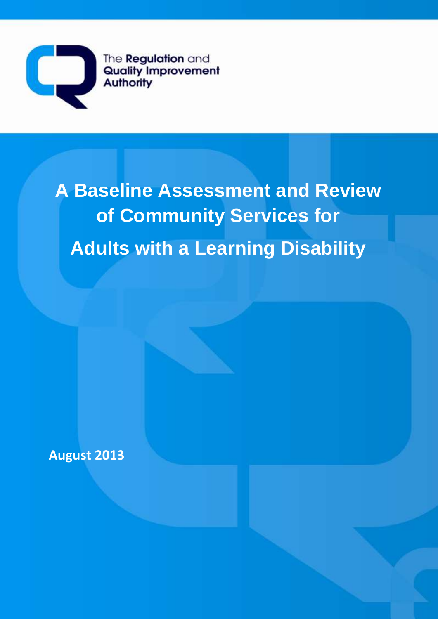

The **Regulation** and **Quality Improvement Authority** 

# **A Baseline Assessment and Review of Community Services for Adults with a Learning Disability**

**August 2013**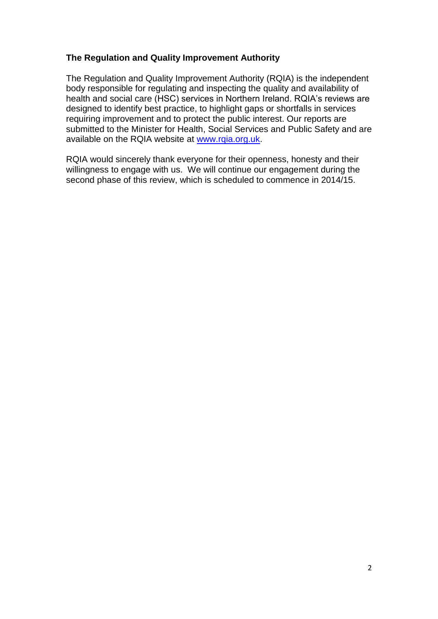## **The Regulation and Quality Improvement Authority**

The Regulation and Quality Improvement Authority (RQIA) is the independent body responsible for regulating and inspecting the quality and availability of health and social care (HSC) services in Northern Ireland. RQIA's reviews are designed to identify best practice, to highlight gaps or shortfalls in services requiring improvement and to protect the public interest. Our reports are submitted to the Minister for Health, Social Services and Public Safety and are available on the RQIA website at [www.rqia.org.uk.](http://www.rqia.org.uk/)

RQIA would sincerely thank everyone for their openness, honesty and their willingness to engage with us. We will continue our engagement during the second phase of this review, which is scheduled to commence in 2014/15.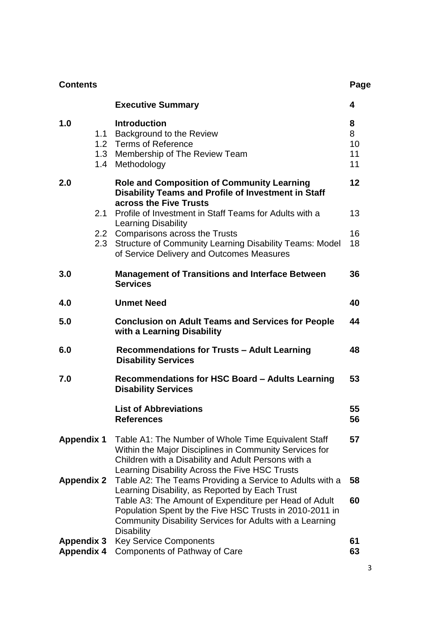| <b>Contents</b>   |            |                                                                                                                                                                                                                        | Page                     |
|-------------------|------------|------------------------------------------------------------------------------------------------------------------------------------------------------------------------------------------------------------------------|--------------------------|
|                   |            | <b>Executive Summary</b>                                                                                                                                                                                               | 4                        |
| 1.0               | 1.1<br>1.4 | <b>Introduction</b><br>Background to the Review<br>1.2 Terms of Reference<br>1.3 Membership of The Review Team<br>Methodology                                                                                          | 8<br>8<br>10<br>11<br>11 |
| 2.0               |            | <b>Role and Composition of Community Learning</b><br><b>Disability Teams and Profile of Investment in Staff</b><br>across the Five Trusts                                                                              | 12                       |
|                   | 2.1        | Profile of Investment in Staff Teams for Adults with a<br>Learning Disability                                                                                                                                          | 13                       |
|                   | 2.3        | 2.2 Comparisons across the Trusts<br>Structure of Community Learning Disability Teams: Model<br>of Service Delivery and Outcomes Measures                                                                              | 16<br>18                 |
| 3.0               |            | <b>Management of Transitions and Interface Between</b><br><b>Services</b>                                                                                                                                              | 36                       |
| 4.0               |            | <b>Unmet Need</b>                                                                                                                                                                                                      | 40                       |
| 5.0               |            | <b>Conclusion on Adult Teams and Services for People</b><br>with a Learning Disability                                                                                                                                 | 44                       |
| 6.0               |            | Recommendations for Trusts - Adult Learning<br><b>Disability Services</b>                                                                                                                                              | 48                       |
| 7.0               |            | Recommendations for HSC Board - Adults Learning<br><b>Disability Services</b>                                                                                                                                          | 53                       |
|                   |            | <b>List of Abbreviations</b><br><b>References</b>                                                                                                                                                                      | 55<br>56                 |
| <b>Appendix 1</b> |            | Table A1: The Number of Whole Time Equivalent Staff<br>Within the Major Disciplines in Community Services for<br>Children with a Disability and Adult Persons with a<br>Learning Disability Across the Five HSC Trusts | 57                       |
| <b>Appendix 2</b> |            | Table A2: The Teams Providing a Service to Adults with a<br>Learning Disability, as Reported by Each Trust                                                                                                             | 58                       |
|                   |            | Table A3: The Amount of Expenditure per Head of Adult<br>Population Spent by the Five HSC Trusts in 2010-2011 in<br>Community Disability Services for Adults with a Learning<br><b>Disability</b>                      | 60                       |
| <b>Appendix 3</b> |            | <b>Key Service Components</b>                                                                                                                                                                                          | 61<br>63                 |
| <b>Appendix 4</b> |            | <b>Components of Pathway of Care</b>                                                                                                                                                                                   |                          |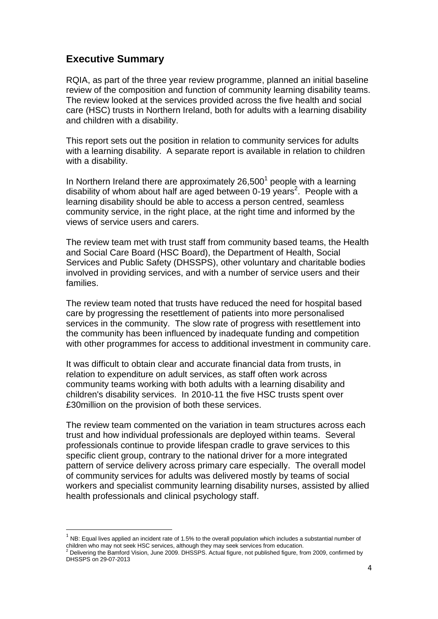# **Executive Summary**

 $\overline{a}$ 

RQIA, as part of the three year review programme, planned an initial baseline review of the composition and function of community learning disability teams. The review looked at the services provided across the five health and social care (HSC) trusts in Northern Ireland, both for adults with a learning disability and children with a disability.

This report sets out the position in relation to community services for adults with a learning disability. A separate report is available in relation to children with a disability.

In Northern Ireland there are approximately  $26,500<sup>1</sup>$  people with a learning disability of whom about half are aged between 0-19 years<sup>2</sup>. People with a learning disability should be able to access a person centred, seamless community service, in the right place, at the right time and informed by the views of service users and carers.

The review team met with trust staff from community based teams, the Health and Social Care Board (HSC Board), the Department of Health, Social Services and Public Safety (DHSSPS), other voluntary and charitable bodies involved in providing services, and with a number of service users and their families.

The review team noted that trusts have reduced the need for hospital based care by progressing the resettlement of patients into more personalised services in the community. The slow rate of progress with resettlement into the community has been influenced by inadequate funding and competition with other programmes for access to additional investment in community care.

It was difficult to obtain clear and accurate financial data from trusts, in relation to expenditure on adult services, as staff often work across community teams working with both adults with a learning disability and children's disability services. In 2010-11 the five HSC trusts spent over £30million on the provision of both these services.

The review team commented on the variation in team structures across each trust and how individual professionals are deployed within teams. Several professionals continue to provide lifespan cradle to grave services to this specific client group, contrary to the national driver for a more integrated pattern of service delivery across primary care especially. The overall model of community services for adults was delivered mostly by teams of social workers and specialist community learning disability nurses, assisted by allied health professionals and clinical psychology staff.

 $<sup>1</sup>$  NB: Equal lives applied an incident rate of 1.5% to the overall population which includes a substantial number of</sup> children who may not seek HSC services, although they may seek services from education.

<sup>2</sup> Delivering the Bamford Vision, June 2009. DHSSPS. Actual figure, not published figure, from 2009, confirmed by DHSSPS on 29-07-2013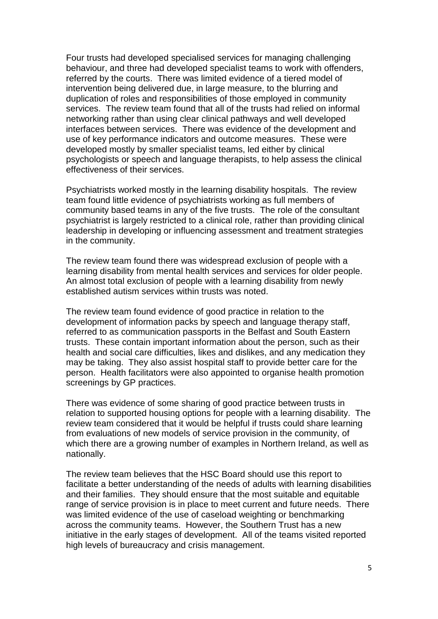Four trusts had developed specialised services for managing challenging behaviour, and three had developed specialist teams to work with offenders, referred by the courts. There was limited evidence of a tiered model of intervention being delivered due, in large measure, to the blurring and duplication of roles and responsibilities of those employed in community services. The review team found that all of the trusts had relied on informal networking rather than using clear clinical pathways and well developed interfaces between services. There was evidence of the development and use of key performance indicators and outcome measures. These were developed mostly by smaller specialist teams, led either by clinical psychologists or speech and language therapists, to help assess the clinical effectiveness of their services.

Psychiatrists worked mostly in the learning disability hospitals. The review team found little evidence of psychiatrists working as full members of community based teams in any of the five trusts. The role of the consultant psychiatrist is largely restricted to a clinical role, rather than providing clinical leadership in developing or influencing assessment and treatment strategies in the community.

The review team found there was widespread exclusion of people with a learning disability from mental health services and services for older people. An almost total exclusion of people with a learning disability from newly established autism services within trusts was noted.

The review team found evidence of good practice in relation to the development of information packs by speech and language therapy staff, referred to as communication passports in the Belfast and South Eastern trusts. These contain important information about the person, such as their health and social care difficulties, likes and dislikes, and any medication they may be taking. They also assist hospital staff to provide better care for the person. Health facilitators were also appointed to organise health promotion screenings by GP practices.

There was evidence of some sharing of good practice between trusts in relation to supported housing options for people with a learning disability. The review team considered that it would be helpful if trusts could share learning from evaluations of new models of service provision in the community, of which there are a growing number of examples in Northern Ireland, as well as nationally.

The review team believes that the HSC Board should use this report to facilitate a better understanding of the needs of adults with learning disabilities and their families. They should ensure that the most suitable and equitable range of service provision is in place to meet current and future needs. There was limited evidence of the use of caseload weighting or benchmarking across the community teams. However, the Southern Trust has a new initiative in the early stages of development. All of the teams visited reported high levels of bureaucracy and crisis management.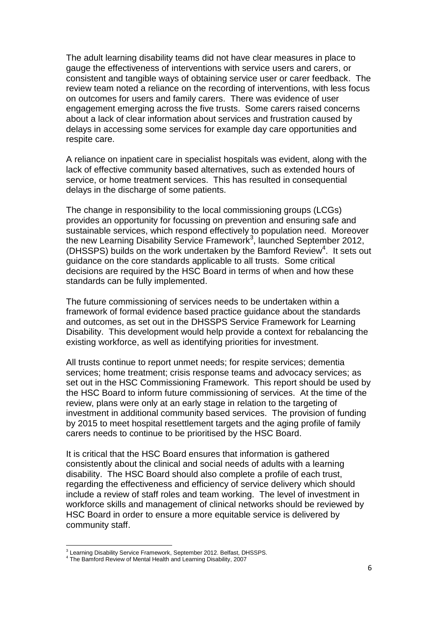The adult learning disability teams did not have clear measures in place to gauge the effectiveness of interventions with service users and carers, or consistent and tangible ways of obtaining service user or carer feedback. The review team noted a reliance on the recording of interventions, with less focus on outcomes for users and family carers. There was evidence of user engagement emerging across the five trusts. Some carers raised concerns about a lack of clear information about services and frustration caused by delays in accessing some services for example day care opportunities and respite care.

A reliance on inpatient care in specialist hospitals was evident, along with the lack of effective community based alternatives, such as extended hours of service, or home treatment services. This has resulted in consequential delays in the discharge of some patients.

The change in responsibility to the local commissioning groups (LCGs) provides an opportunity for focussing on prevention and ensuring safe and sustainable services, which respond effectively to population need. Moreover the new Learning Disability Service Framework<sup>3</sup>, launched September 2012, (DHSSPS) builds on the work undertaken by the Bamford Review<sup>4</sup>. It sets out guidance on the core standards applicable to all trusts. Some critical decisions are required by the HSC Board in terms of when and how these standards can be fully implemented.

The future commissioning of services needs to be undertaken within a framework of formal evidence based practice guidance about the standards and outcomes, as set out in the DHSSPS Service Framework for Learning Disability. This development would help provide a context for rebalancing the existing workforce, as well as identifying priorities for investment.

All trusts continue to report unmet needs; for respite services; dementia services; home treatment; crisis response teams and advocacy services; as set out in the HSC Commissioning Framework. This report should be used by the HSC Board to inform future commissioning of services. At the time of the review, plans were only at an early stage in relation to the targeting of investment in additional community based services. The provision of funding by 2015 to meet hospital resettlement targets and the aging profile of family carers needs to continue to be prioritised by the HSC Board.

It is critical that the HSC Board ensures that information is gathered consistently about the clinical and social needs of adults with a learning disability. The HSC Board should also complete a profile of each trust, regarding the effectiveness and efficiency of service delivery which should include a review of staff roles and team working. The level of investment in workforce skills and management of clinical networks should be reviewed by HSC Board in order to ensure a more equitable service is delivered by community staff.

<sup>&</sup>lt;sup>3</sup> Learning Disability Service Framework, September 2012. Belfast, DHSSPS.

<sup>4</sup> The Bamford Review of Mental Health and Learning Disability, 2007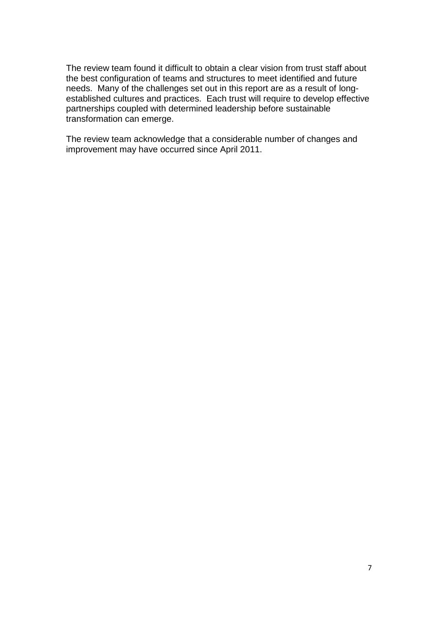The review team found it difficult to obtain a clear vision from trust staff about the best configuration of teams and structures to meet identified and future needs. Many of the challenges set out in this report are as a result of longestablished cultures and practices. Each trust will require to develop effective partnerships coupled with determined leadership before sustainable transformation can emerge.

The review team acknowledge that a considerable number of changes and improvement may have occurred since April 2011.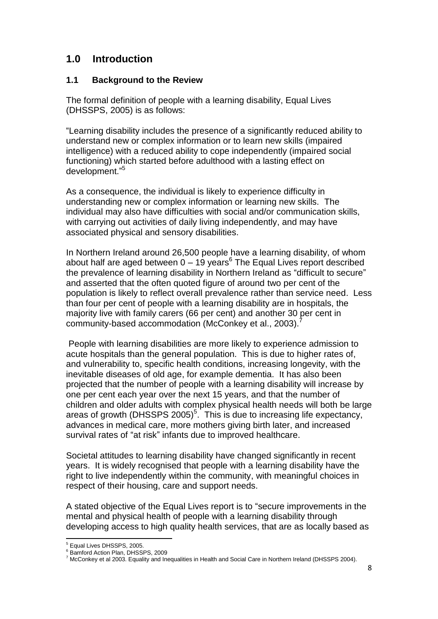# **1.0 Introduction**

# **1.1 Background to the Review**

The formal definition of people with a learning disability, Equal Lives (DHSSPS, 2005) is as follows:

"Learning disability includes the presence of a significantly reduced ability to understand new or complex information or to learn new skills (impaired intelligence) with a reduced ability to cope independently (impaired social functioning) which started before adulthood with a lasting effect on development."<sup>5</sup>

As a consequence, the individual is likely to experience difficulty in understanding new or complex information or learning new skills. The individual may also have difficulties with social and/or communication skills, with carrying out activities of daily living independently, and may have associated physical and sensory disabilities.

In Northern Ireland around 26,500 people have a learning disability, of whom about half are aged between  $0 - 19$  years<sup>6</sup> The Equal Lives report described the prevalence of learning disability in Northern Ireland as "difficult to secure" and asserted that the often quoted figure of around two per cent of the population is likely to reflect overall prevalence rather than service need. Less than four per cent of people with a learning disability are in hospitals, the majority live with family carers (66 per cent) and another 30 per cent in community-based accommodation (McConkey et al., 2003).<sup>7</sup>

People with learning disabilities are more likely to experience admission to acute hospitals than the general population. This is due to higher rates of, and vulnerability to, specific health conditions, increasing longevity, with the inevitable diseases of old age, for example dementia. It has also been projected that the number of people with a learning disability will increase by one per cent each year over the next 15 years, and that the number of children and older adults with complex physical health needs will both be large areas of growth (DHSSPS 2005)<sup>5</sup>. This is due to increasing life expectancy, advances in medical care, more mothers giving birth later, and increased survival rates of "at risk" infants due to improved healthcare.

Societal attitudes to learning disability have changed significantly in recent years. It is widely recognised that people with a learning disability have the right to live independently within the community, with meaningful choices in respect of their housing, care and support needs.

A stated objective of the Equal Lives report is to "secure improvements in the mental and physical health of people with a learning disability through developing access to high quality health services, that are as locally based as

 $\overline{a}$ <sup>5</sup> Equal Lives DHSSPS, 2005.

<sup>&</sup>lt;sup>6</sup> Bamford Action Plan, DHSSPS, 2009

 $^7$  McConkey et al 2003. Equality and Inequalities in Health and Social Care in Northern Ireland (DHSSPS 2004).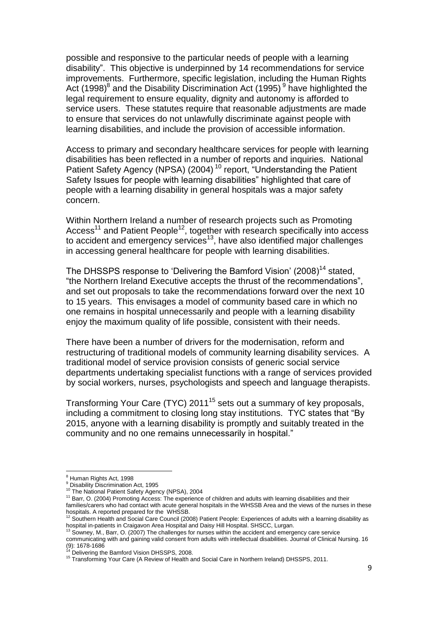possible and responsive to the particular needs of people with a learning disability". This objective is underpinned by 14 recommendations for service improvements. Furthermore, specific legislation, including the Human Rights Act (1998)<sup>8</sup> and the Disability Discrimination Act (1995)<sup>9</sup> have highlighted the legal requirement to ensure equality, dignity and autonomy is afforded to service users. These statutes require that reasonable adjustments are made to ensure that services do not unlawfully discriminate against people with learning disabilities, and include the provision of accessible information.

Access to primary and secondary healthcare services for people with learning disabilities has been reflected in a number of reports and inquiries. National Patient Safety Agency (NPSA) (2004) <sup>10</sup> report, "Understanding the Patient Safety Issues for people with learning disabilities" highlighted that care of people with a learning disability in general hospitals was a major safety concern.

Within Northern Ireland a number of research projects such as Promoting Access<sup>11</sup> and Patient People<sup>12</sup>, together with research specifically into access to accident and emergency services<sup>13</sup>, have also identified major challenges in accessing general healthcare for people with learning disabilities.

The DHSSPS response to 'Delivering the Bamford Vision' (2008)<sup>14</sup> stated, "the Northern Ireland Executive accepts the thrust of the recommendations", and set out proposals to take the recommendations forward over the next 10 to 15 years. This envisages a model of community based care in which no one remains in hospital unnecessarily and people with a learning disability enjoy the maximum quality of life possible, consistent with their needs.

There have been a number of drivers for the modernisation, reform and restructuring of traditional models of community learning disability services. A traditional model of service provision consists of generic social service departments undertaking specialist functions with a range of services provided by social workers, nurses, psychologists and speech and language therapists.

Transforming Your Care (TYC) 2011<sup>15</sup> sets out a summary of key proposals, including a commitment to closing long stay institutions. TYC states that "By 2015, anyone with a learning disability is promptly and suitably treated in the community and no one remains unnecessarily in hospital."

 $\overline{a}$ 

<sup>&</sup>lt;sup>8</sup> Human Rights Act, 1998

<sup>&</sup>lt;sup>9</sup> Disability Discrimination Act, 1995

<sup>&</sup>lt;sup>10</sup> The National Patient Safety Agency (NPSA), 2004

<sup>&</sup>lt;sup>11</sup> Barr, O. (2004) Promoting Access: The experience of children and adults with learning disabilities and their families/carers who had contact with acute general hospitals in the WHSSB Area and the views of the nurses in these

hospitals. A reported prepared for the WHSSB.<br><sup>12</sup> Southern Health and Social Care Council (2008) Patient People: Experiences of adults with a learning disability as hospital in-patients in Craigavon Area Hospital and Daisy Hill Hospital. SHSCC, Lurgan.

Sowney, M., Barr, O. (2007) The challenges for nurses within the accident and emergency care service

communicating with and gaining valid consent from adults with intellectual disabilities. Journal of Clinical Nursing. 16  $(9)$ : 1678-1686

Delivering the Bamford Vision DHSSPS, 2008.

<sup>&</sup>lt;sup>15</sup> Transforming Your Care (A Review of Health and Social Care in Northern Ireland) DHSSPS, 2011.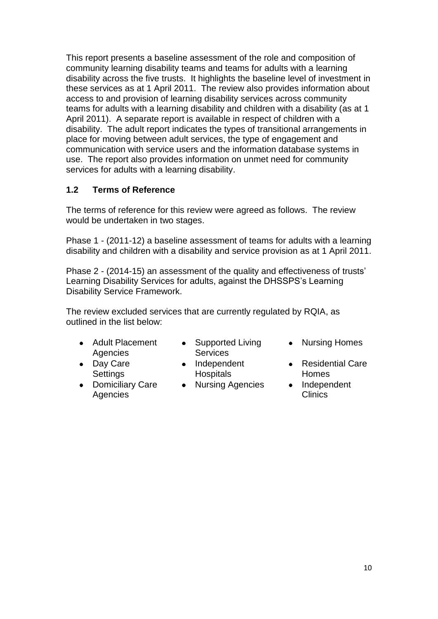This report presents a baseline assessment of the role and composition of community learning disability teams and teams for adults with a learning disability across the five trusts. It highlights the baseline level of investment in these services as at 1 April 2011. The review also provides information about access to and provision of learning disability services across community teams for adults with a learning disability and children with a disability (as at 1 April 2011). A separate report is available in respect of children with a disability. The adult report indicates the types of transitional arrangements in place for moving between adult services, the type of engagement and communication with service users and the information database systems in use. The report also provides information on unmet need for community services for adults with a learning disability.

# **1.2 Terms of Reference**

The terms of reference for this review were agreed as follows. The review would be undertaken in two stages.

Phase 1 - (2011-12) a baseline assessment of teams for adults with a learning disability and children with a disability and service provision as at 1 April 2011.

Phase 2 - (2014-15) an assessment of the quality and effectiveness of trusts" Learning Disability Services for adults, against the DHSSPS"s Learning Disability Service Framework.

The review excluded services that are currently regulated by RQIA, as outlined in the list below:

- Adult Placement Agencies
- Day Care **Settings**
- $\bullet$ Domiciliary Care **Agencies**
- Supported Living **Services**
- Independent Hospitals
- Nursing Agencies Independent
- Nursing Homes
- Residential Care Homes
	- Clinics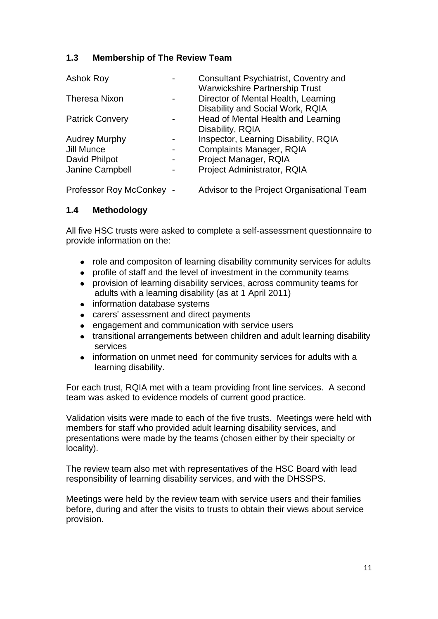# **1.3 Membership of The Review Team**

| <b>Ashok Roy</b>         | <b>Consultant Psychiatrist, Coventry and</b> |
|--------------------------|----------------------------------------------|
|                          | <b>Warwickshire Partnership Trust</b>        |
| <b>Theresa Nixon</b>     | Director of Mental Health, Learning          |
|                          | Disability and Social Work, RQIA             |
| <b>Patrick Convery</b>   | Head of Mental Health and Learning           |
|                          | Disability, RQIA                             |
| <b>Audrey Murphy</b>     | Inspector, Learning Disability, RQIA         |
| Jill Munce               | <b>Complaints Manager, RQIA</b>              |
| David Philpot            | Project Manager, RQIA                        |
| Janine Campbell          | Project Administrator, RQIA                  |
| Professor Roy McConkey - | Advisor to the Project Organisational Team   |

# **1.4 Methodology**

All five HSC trusts were asked to complete a self-assessment questionnaire to provide information on the:

- role and compositon of learning disability community services for adults  $\bullet$
- profile of staff and the level of investment in the community teams
- provision of learning disability services, across community teams for adults with a learning disability (as at 1 April 2011)
- information database systems
- carers' assessment and direct payments
- engagement and communication with service users
- transitional arrangements between children and adult learning disability services
- information on unmet need for community services for adults with a learning disability.

For each trust, RQIA met with a team providing front line services. A second team was asked to evidence models of current good practice.

Validation visits were made to each of the five trusts. Meetings were held with members for staff who provided adult learning disability services, and presentations were made by the teams (chosen either by their specialty or locality).

The review team also met with representatives of the HSC Board with lead responsibility of learning disability services, and with the DHSSPS.

Meetings were held by the review team with service users and their families before, during and after the visits to trusts to obtain their views about service provision.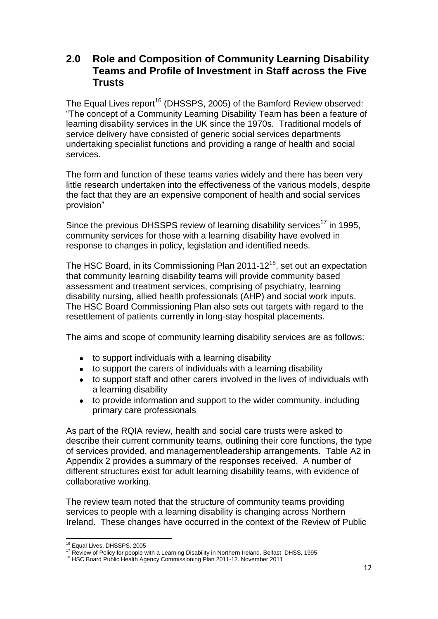# **2.0 Role and Composition of Community Learning Disability Teams and Profile of Investment in Staff across the Five Trusts**

The Equal Lives report<sup>16</sup> (DHSSPS, 2005) of the Bamford Review observed: "The concept of a Community Learning Disability Team has been a feature of learning disability services in the UK since the 1970s. Traditional models of service delivery have consisted of generic social services departments undertaking specialist functions and providing a range of health and social services.

The form and function of these teams varies widely and there has been very little research undertaken into the effectiveness of the various models, despite the fact that they are an expensive component of health and social services provision"

Since the previous DHSSPS review of learning disability services<sup>17</sup> in 1995, community services for those with a learning disability have evolved in response to changes in policy, legislation and identified needs.

The HSC Board, in its Commissioning Plan 2011-12 $^{18}$ , set out an expectation that community learning disability teams will provide community based assessment and treatment services, comprising of psychiatry, learning disability nursing, allied health professionals (AHP) and social work inputs. The HSC Board Commissioning Plan also sets out targets with regard to the resettlement of patients currently in long-stay hospital placements.

The aims and scope of community learning disability services are as follows:

- to support individuals with a learning disability
- to support the carers of individuals with a learning disability
- to support staff and other carers involved in the lives of individuals with a learning disability
- $\bullet$ to provide information and support to the wider community, including primary care professionals

As part of the RQIA review, health and social care trusts were asked to describe their current community teams, outlining their core functions, the type of services provided, and management/leadership arrangements. Table A2 in Appendix 2 provides a summary of the responses received. A number of different structures exist for adult learning disability teams, with evidence of collaborative working.

The review team noted that the structure of community teams providing services to people with a learning disability is changing across Northern Ireland. These changes have occurred in the context of the Review of Public

 $\overline{a}$ <sup>16</sup> Equal Lives, DHSSPS, 2005

<sup>17</sup> Review of Policy for people with a Learning Disability in Northern Ireland. Belfast: DHSS, 1995

<sup>&</sup>lt;sup>18</sup> HSC Board Public Health Agency Commissioning Plan 2011-12. November 2011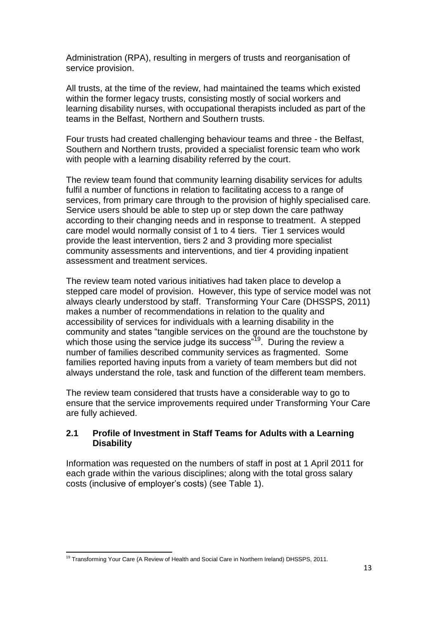Administration (RPA), resulting in mergers of trusts and reorganisation of service provision.

All trusts, at the time of the review, had maintained the teams which existed within the former legacy trusts, consisting mostly of social workers and learning disability nurses, with occupational therapists included as part of the teams in the Belfast, Northern and Southern trusts.

Four trusts had created challenging behaviour teams and three - the Belfast, Southern and Northern trusts, provided a specialist forensic team who work with people with a learning disability referred by the court.

The review team found that community learning disability services for adults fulfil a number of functions in relation to facilitating access to a range of services, from primary care through to the provision of highly specialised care. Service users should be able to step up or step down the care pathway according to their changing needs and in response to treatment. A stepped care model would normally consist of 1 to 4 tiers. Tier 1 services would provide the least intervention, tiers 2 and 3 providing more specialist community assessments and interventions, and tier 4 providing inpatient assessment and treatment services.

The review team noted various initiatives had taken place to develop a stepped care model of provision. However, this type of service model was not always clearly understood by staff. Transforming Your Care (DHSSPS, 2011) makes a number of recommendations in relation to the quality and accessibility of services for individuals with a learning disability in the community and states "tangible services on the ground are the touchstone by which those using the service judge its success"<sup>19</sup>. During the review a number of families described community services as fragmented. Some families reported having inputs from a variety of team members but did not always understand the role, task and function of the different team members.

The review team considered that trusts have a considerable way to go to ensure that the service improvements required under Transforming Your Care are fully achieved.

# **2.1 Profile of Investment in Staff Teams for Adults with a Learning Disability**

Information was requested on the numbers of staff in post at 1 April 2011 for each grade within the various disciplines; along with the total gross salary costs (inclusive of employer"s costs) (see Table 1).

 $\overline{a}$ <sup>19</sup> Transforming Your Care (A Review of Health and Social Care in Northern Ireland) DHSSPS, 2011.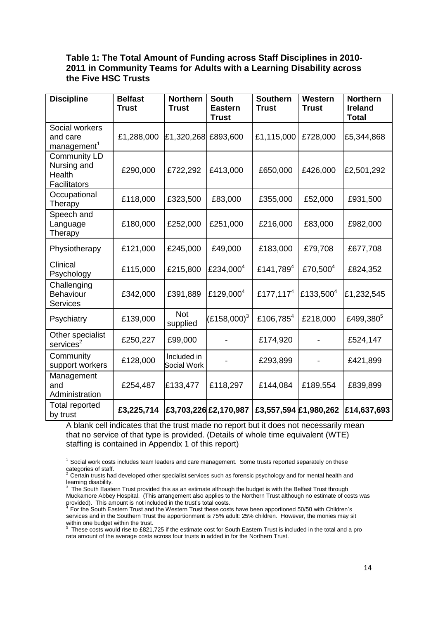#### **Table 1: The Total Amount of Funding across Staff Disciplines in 2010- 2011 in Community Teams for Adults with a Learning Disability across the Five HSC Trusts**

| <b>Discipline</b>                                            | <b>Belfast</b><br><b>Trust</b> | <b>Northern</b><br><b>Trust</b>   | <b>South</b><br><b>Eastern</b><br><b>Trust</b> | <b>Southern</b><br><b>Trust</b> | Western<br><b>Trust</b> | <b>Northern</b><br><b>Ireland</b><br><b>Total</b> |
|--------------------------------------------------------------|--------------------------------|-----------------------------------|------------------------------------------------|---------------------------------|-------------------------|---------------------------------------------------|
| Social workers<br>and care<br>management <sup>1</sup>        | £1,288,000                     | £1,320,268                        | £893,600                                       | £1,115,000                      | £728,000                | £5,344,868                                        |
| <b>Community LD</b><br>Nursing and<br>Health<br>Facilitators | £290,000                       | £722,292                          | £413,000                                       | £650,000                        | £426,000                | £2,501,292                                        |
| Occupational<br>Therapy                                      | £118,000                       | £323,500                          | £83,000                                        | £355,000                        | £52,000                 | £931,500                                          |
| Speech and<br>Language<br>Therapy                            | £180,000                       | £252,000                          | £251,000                                       | £216,000                        | £83,000                 | £982,000                                          |
| Physiotherapy                                                | £121,000                       | £245,000                          | £49,000                                        | £183,000                        | £79,708                 | £677,708                                          |
| Clinical<br>Psychology                                       | £115,000                       | £215,800                          | £234,000 <sup>4</sup>                          | £141,789 <sup>4</sup>           | £70,500 <sup>4</sup>    | £824,352                                          |
| Challenging<br>Behaviour<br><b>Services</b>                  | £342,000                       | £391,889                          | £129,000 <sup>4</sup>                          | £177,117 <sup>4</sup>           | £133,500 <sup>4</sup>   | £1,232,545                                        |
| Psychiatry                                                   | £139,000                       | <b>Not</b><br>supplied            | $(E158,000)^3$                                 | £106,785 <sup>4</sup>           | £218,000                | £499,380 <sup>5</sup>                             |
| Other specialist<br>services <sup>2</sup>                    | £250,227                       | £99,000                           |                                                | £174,920                        |                         | £524,147                                          |
| Community<br>support workers                                 | £128,000                       | Included in<br><b>Social Work</b> |                                                | £293,899                        |                         | £421,899                                          |
| Management<br>and<br>Administration                          | £254,487                       | £133,477                          | £118,297                                       | £144,084                        | £189,554                | £839,899                                          |
| <b>Total reported</b><br>by trust                            | £3,225,714                     |                                   | £3,703,226 £2,170,987                          | £3,557,594 £1,980,262           |                         | £14,637,693                                       |

A blank cell indicates that the trust made no report but it does not necessarily mean that no service of that type is provided. (Details of whole time equivalent (WTE) staffing is contained in Appendix 1 of this report)

<sup>1</sup> Social work costs includes team leaders and care management. Some trusts reported separately on these categories of staff.

<sup>2</sup>Certain trusts had developed other specialist services such as forensic psychology and for mental health and learning disability.<br><sup>3</sup> The South Eastern Trust provided this as an estimate although the budget is with the Belfast Trust through

Muckamore Abbey Hospital. (This arrangement also applies to the Northern Trust although no estimate of costs was provided). This amount is not included in the trust's total costs.<br><sup>4</sup> For the South Eastern Trust and the Western Trust these costs have been apportioned 50/50 with Children's

services and in the Southern Trust the apportionment is 75% adult: 25% children. However, the monies may sit within one budget within the trust.<br><sup>5</sup> These costs would rise to £821,725 if the estimate cost for South Eastern Trust is included in the total and a pro

rata amount of the average costs across four trusts in added in for the Northern Trust.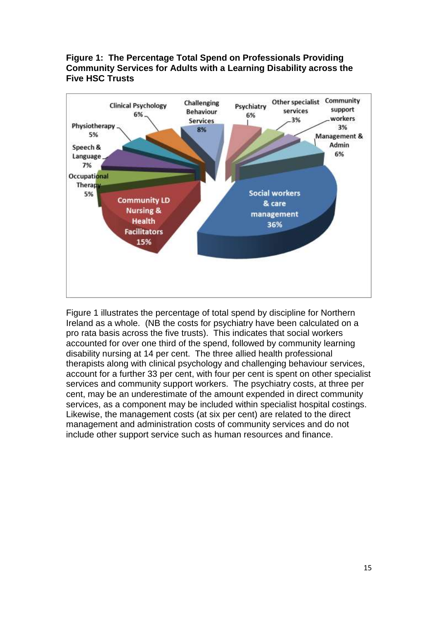## **Figure 1: The Percentage Total Spend on Professionals Providing Community Services for Adults with a Learning Disability across the Five HSC Trusts**



Figure 1 illustrates the percentage of total spend by discipline for Northern Ireland as a whole. (NB the costs for psychiatry have been calculated on a pro rata basis across the five trusts). This indicates that social workers accounted for over one third of the spend, followed by community learning disability nursing at 14 per cent. The three allied health professional therapists along with clinical psychology and challenging behaviour services, account for a further 33 per cent, with four per cent is spent on other specialist services and community support workers. The psychiatry costs, at three per cent, may be an underestimate of the amount expended in direct community services, as a component may be included within specialist hospital costings. Likewise, the management costs (at six per cent) are related to the direct management and administration costs of community services and do not include other support service such as human resources and finance.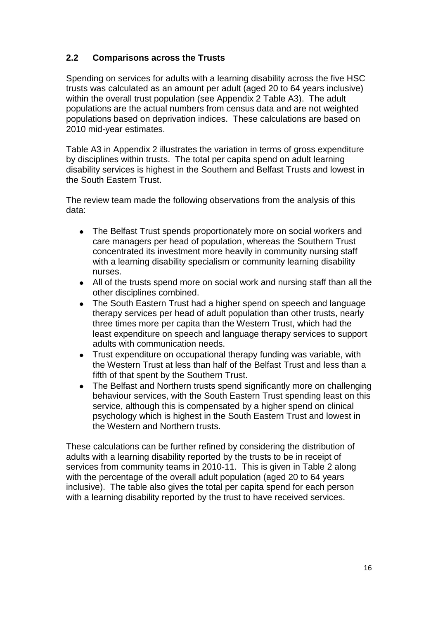# **2.2 Comparisons across the Trusts**

Spending on services for adults with a learning disability across the five HSC trusts was calculated as an amount per adult (aged 20 to 64 years inclusive) within the overall trust population (see Appendix 2 Table A3). The adult populations are the actual numbers from census data and are not weighted populations based on deprivation indices. These calculations are based on 2010 mid-year estimates.

Table A3 in Appendix 2 illustrates the variation in terms of gross expenditure by disciplines within trusts. The total per capita spend on adult learning disability services is highest in the Southern and Belfast Trusts and lowest in the South Eastern Trust.

The review team made the following observations from the analysis of this data:

- The Belfast Trust spends proportionately more on social workers and care managers per head of population, whereas the Southern Trust concentrated its investment more heavily in community nursing staff with a learning disability specialism or community learning disability nurses.
- All of the trusts spend more on social work and nursing staff than all the  $\bullet$ other disciplines combined.
- The South Eastern Trust had a higher spend on speech and language  $\bullet$ therapy services per head of adult population than other trusts, nearly three times more per capita than the Western Trust, which had the least expenditure on speech and language therapy services to support adults with communication needs.
- Trust expenditure on occupational therapy funding was variable, with the Western Trust at less than half of the Belfast Trust and less than a fifth of that spent by the Southern Trust.
- The Belfast and Northern trusts spend significantly more on challenging behaviour services, with the South Eastern Trust spending least on this service, although this is compensated by a higher spend on clinical psychology which is highest in the South Eastern Trust and lowest in the Western and Northern trusts.

These calculations can be further refined by considering the distribution of adults with a learning disability reported by the trusts to be in receipt of services from community teams in 2010-11. This is given in Table 2 along with the percentage of the overall adult population (aged 20 to 64 years inclusive). The table also gives the total per capita spend for each person with a learning disability reported by the trust to have received services.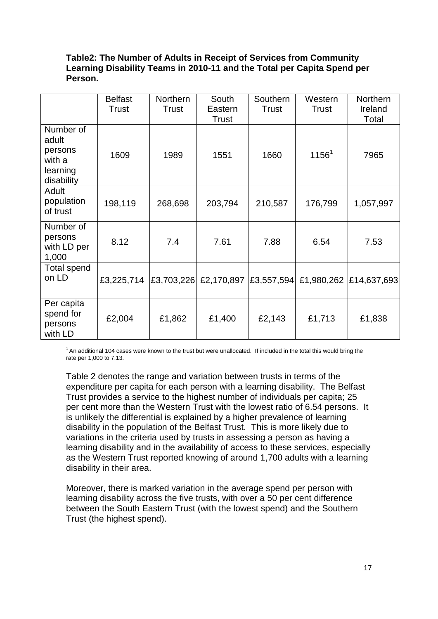#### **Table2: The Number of Adults in Receipt of Services from Community Learning Disability Teams in 2010-11 and the Total per Capita Spend per Person.**

|                                                                   | <b>Belfast</b><br>Trust | <b>Northern</b><br>Trust | South<br>Eastern<br>Trust        | Southern<br><b>Trust</b> | Western<br><b>Trust</b> | Northern<br>Ireland<br>Total |
|-------------------------------------------------------------------|-------------------------|--------------------------|----------------------------------|--------------------------|-------------------------|------------------------------|
| Number of<br>adult<br>persons<br>with a<br>learning<br>disability | 1609                    | 1989                     | 1551                             | 1660                     | $1156^1$                | 7965                         |
| Adult<br>population<br>of trust                                   | 198,119                 | 268,698                  | 203,794                          | 210,587                  | 176,799                 | 1,057,997                    |
| Number of<br>persons<br>with LD per<br>1,000                      | 8.12                    | 7.4                      | 7.61                             | 7.88                     | 6.54                    | 7.53                         |
| Total spend<br>on LD                                              | £3,225,714              |                          | £3,703,226 £2,170,897 £3,557,594 |                          |                         | £1,980,262 £14,637,693       |
| Per capita<br>spend for<br>persons<br>with LD                     | £2,004                  | £1,862                   | £1,400                           | £2,143                   | £1,713                  | £1,838                       |

<sup>1</sup> An additional 104 cases were known to the trust but were unallocated. If included in the total this would bring the rate per 1,000 to 7.13.

Table 2 denotes the range and variation between trusts in terms of the expenditure per capita for each person with a learning disability. The Belfast Trust provides a service to the highest number of individuals per capita; 25 per cent more than the Western Trust with the lowest ratio of 6.54 persons. It is unlikely the differential is explained by a higher prevalence of learning disability in the population of the Belfast Trust. This is more likely due to variations in the criteria used by trusts in assessing a person as having a learning disability and in the availability of access to these services, especially as the Western Trust reported knowing of around 1,700 adults with a learning disability in their area.

Moreover, there is marked variation in the average spend per person with learning disability across the five trusts, with over a 50 per cent difference between the South Eastern Trust (with the lowest spend) and the Southern Trust (the highest spend).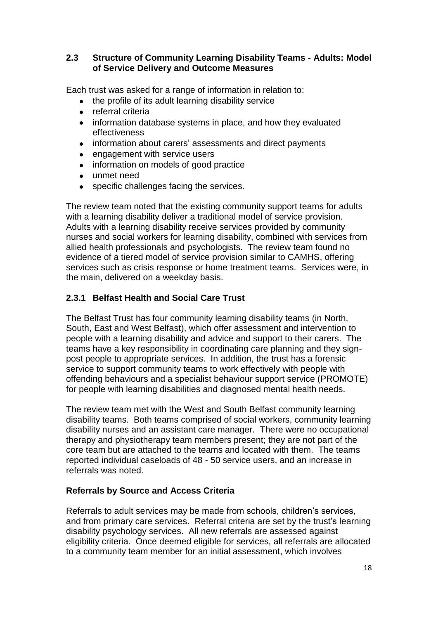## **2.3 Structure of Community Learning Disability Teams - Adults: Model of Service Delivery and Outcome Measures**

Each trust was asked for a range of information in relation to:

- the profile of its adult learning disability service  $\bullet$
- referral criteria  $\bullet$
- information database systems in place, and how they evaluated effectiveness
- information about carers' assessments and direct payments
- engagement with service users  $\bullet$
- $\bullet$ information on models of good practice
- $\bullet$ unmet need
- specific challenges facing the services.  $\bullet$

The review team noted that the existing community support teams for adults with a learning disability deliver a traditional model of service provision. Adults with a learning disability receive services provided by community nurses and social workers for learning disability, combined with services from allied health professionals and psychologists. The review team found no evidence of a tiered model of service provision similar to CAMHS, offering services such as crisis response or home treatment teams. Services were, in the main, delivered on a weekday basis.

# **2.3.1 Belfast Health and Social Care Trust**

The Belfast Trust has four community learning disability teams (in North, South, East and West Belfast), which offer assessment and intervention to people with a learning disability and advice and support to their carers. The teams have a key responsibility in coordinating care planning and they signpost people to appropriate services. In addition, the trust has a forensic service to support community teams to work effectively with people with offending behaviours and a specialist behaviour support service (PROMOTE) for people with learning disabilities and diagnosed mental health needs.

The review team met with the West and South Belfast community learning disability teams. Both teams comprised of social workers, community learning disability nurses and an assistant care manager. There were no occupational therapy and physiotherapy team members present; they are not part of the core team but are attached to the teams and located with them. The teams reported individual caseloads of 48 - 50 service users, and an increase in referrals was noted.

# **Referrals by Source and Access Criteria**

Referrals to adult services may be made from schools, children's services, and from primary care services. Referral criteria are set by the trust's learning disability psychology services. All new referrals are assessed against eligibility criteria. Once deemed eligible for services, all referrals are allocated to a community team member for an initial assessment, which involves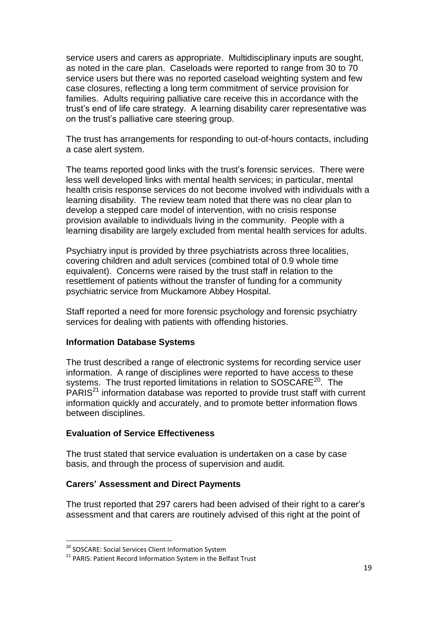service users and carers as appropriate. Multidisciplinary inputs are sought, as noted in the care plan. Caseloads were reported to range from 30 to 70 service users but there was no reported caseload weighting system and few case closures, reflecting a long term commitment of service provision for families. Adults requiring palliative care receive this in accordance with the trust"s end of life care strategy. A learning disability carer representative was on the trust"s palliative care steering group.

The trust has arrangements for responding to out-of-hours contacts, including a case alert system.

The teams reported good links with the trust"s forensic services. There were less well developed links with mental health services; in particular, mental health crisis response services do not become involved with individuals with a learning disability. The review team noted that there was no clear plan to develop a stepped care model of intervention, with no crisis response provision available to individuals living in the community. People with a learning disability are largely excluded from mental health services for adults.

Psychiatry input is provided by three psychiatrists across three localities, covering children and adult services (combined total of 0.9 whole time equivalent). Concerns were raised by the trust staff in relation to the resettlement of patients without the transfer of funding for a community psychiatric service from Muckamore Abbey Hospital.

Staff reported a need for more forensic psychology and forensic psychiatry services for dealing with patients with offending histories.

#### **Information Database Systems**

The trust described a range of electronic systems for recording service user information. A range of disciplines were reported to have access to these systems. The trust reported limitations in relation to SOSCARE<sup>20</sup>. The PARIS<sup>21</sup> information database was reported to provide trust staff with current information quickly and accurately, and to promote better information flows between disciplines.

#### **Evaluation of Service Effectiveness**

The trust stated that service evaluation is undertaken on a case by case basis, and through the process of supervision and audit.

#### **Carers' Assessment and Direct Payments**

The trust reported that 297 carers had been advised of their right to a carer"s assessment and that carers are routinely advised of this right at the point of

 $\overline{a}$ 

<sup>&</sup>lt;sup>20</sup> SOSCARE: Social Services Client Information System

<sup>&</sup>lt;sup>21</sup> PARIS: Patient Record Information System in the Belfast Trust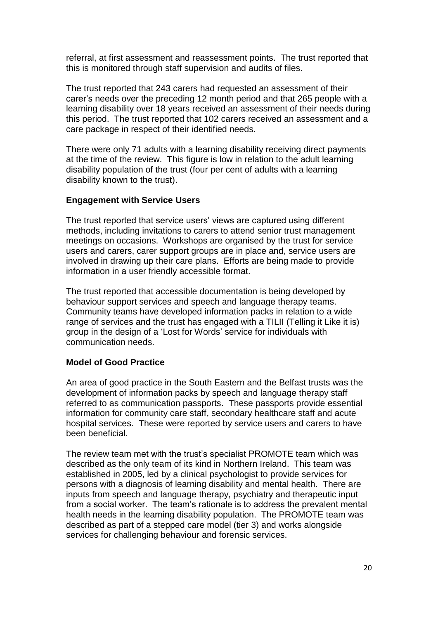referral, at first assessment and reassessment points. The trust reported that this is monitored through staff supervision and audits of files.

The trust reported that 243 carers had requested an assessment of their carer"s needs over the preceding 12 month period and that 265 people with a learning disability over 18 years received an assessment of their needs during this period. The trust reported that 102 carers received an assessment and a care package in respect of their identified needs.

There were only 71 adults with a learning disability receiving direct payments at the time of the review. This figure is low in relation to the adult learning disability population of the trust (four per cent of adults with a learning disability known to the trust).

#### **Engagement with Service Users**

The trust reported that service users' views are captured using different methods, including invitations to carers to attend senior trust management meetings on occasions. Workshops are organised by the trust for service users and carers, carer support groups are in place and, service users are involved in drawing up their care plans. Efforts are being made to provide information in a user friendly accessible format.

The trust reported that accessible documentation is being developed by behaviour support services and speech and language therapy teams. Community teams have developed information packs in relation to a wide range of services and the trust has engaged with a TILII (Telling it Like it is) group in the design of a "Lost for Words" service for individuals with communication needs.

#### **Model of Good Practice**

An area of good practice in the South Eastern and the Belfast trusts was the development of information packs by speech and language therapy staff referred to as communication passports. These passports provide essential information for community care staff, secondary healthcare staff and acute hospital services. These were reported by service users and carers to have been beneficial.

The review team met with the trust"s specialist PROMOTE team which was described as the only team of its kind in Northern Ireland. This team was established in 2005, led by a clinical psychologist to provide services for persons with a diagnosis of learning disability and mental health. There are inputs from speech and language therapy, psychiatry and therapeutic input from a social worker. The team"s rationale is to address the prevalent mental health needs in the learning disability population. The PROMOTE team was described as part of a stepped care model (tier 3) and works alongside services for challenging behaviour and forensic services.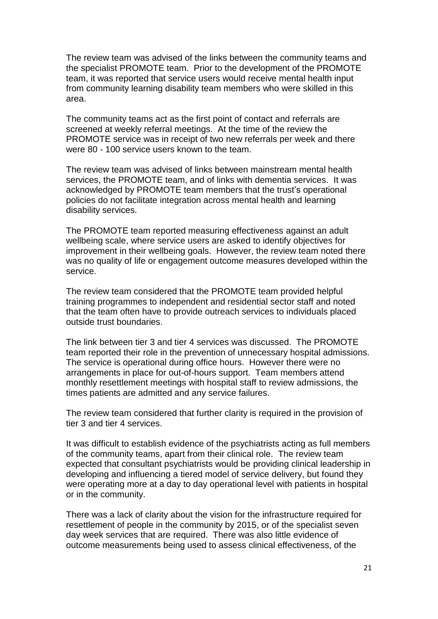The review team was advised of the links between the community teams and the specialist PROMOTE team. Prior to the development of the PROMOTE team, it was reported that service users would receive mental health input from community learning disability team members who were skilled in this area.

The community teams act as the first point of contact and referrals are screened at weekly referral meetings. At the time of the review the PROMOTE service was in receipt of two new referrals per week and there were 80 - 100 service users known to the team.

The review team was advised of links between mainstream mental health services, the PROMOTE team, and of links with dementia services. It was acknowledged by PROMOTE team members that the trust"s operational policies do not facilitate integration across mental health and learning disability services.

The PROMOTE team reported measuring effectiveness against an adult wellbeing scale, where service users are asked to identify objectives for improvement in their wellbeing goals. However, the review team noted there was no quality of life or engagement outcome measures developed within the service.

The review team considered that the PROMOTE team provided helpful training programmes to independent and residential sector staff and noted that the team often have to provide outreach services to individuals placed outside trust boundaries.

The link between tier 3 and tier 4 services was discussed. The PROMOTE team reported their role in the prevention of unnecessary hospital admissions. The service is operational during office hours. However there were no arrangements in place for out-of-hours support. Team members attend monthly resettlement meetings with hospital staff to review admissions, the times patients are admitted and any service failures.

The review team considered that further clarity is required in the provision of tier 3 and tier 4 services.

It was difficult to establish evidence of the psychiatrists acting as full members of the community teams, apart from their clinical role. The review team expected that consultant psychiatrists would be providing clinical leadership in developing and influencing a tiered model of service delivery, but found they were operating more at a day to day operational level with patients in hospital or in the community.

There was a lack of clarity about the vision for the infrastructure required for resettlement of people in the community by 2015, or of the specialist seven day week services that are required. There was also little evidence of outcome measurements being used to assess clinical effectiveness, of the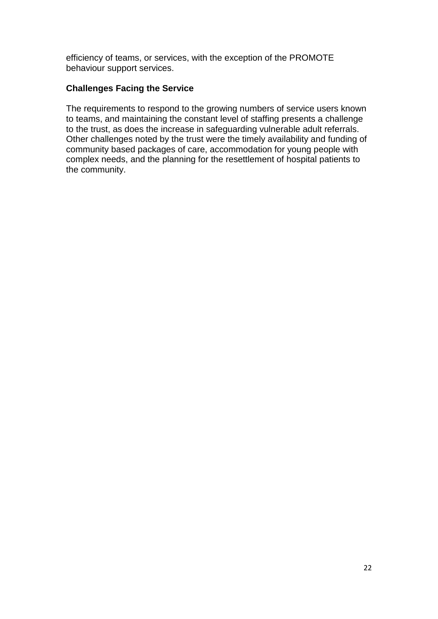efficiency of teams, or services, with the exception of the PROMOTE behaviour support services.

# **Challenges Facing the Service**

The requirements to respond to the growing numbers of service users known to teams, and maintaining the constant level of staffing presents a challenge to the trust, as does the increase in safeguarding vulnerable adult referrals. Other challenges noted by the trust were the timely availability and funding of community based packages of care, accommodation for young people with complex needs, and the planning for the resettlement of hospital patients to the community.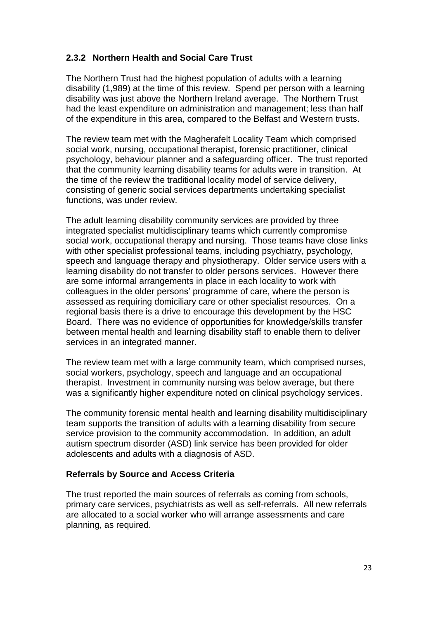# **2.3.2 Northern Health and Social Care Trust**

The Northern Trust had the highest population of adults with a learning disability (1,989) at the time of this review. Spend per person with a learning disability was just above the Northern Ireland average. The Northern Trust had the least expenditure on administration and management; less than half of the expenditure in this area, compared to the Belfast and Western trusts.

The review team met with the Magherafelt Locality Team which comprised social work, nursing, occupational therapist, forensic practitioner, clinical psychology, behaviour planner and a safeguarding officer. The trust reported that the community learning disability teams for adults were in transition. At the time of the review the traditional locality model of service delivery, consisting of generic social services departments undertaking specialist functions, was under review.

The adult learning disability community services are provided by three integrated specialist multidisciplinary teams which currently compromise social work, occupational therapy and nursing. Those teams have close links with other specialist professional teams, including psychiatry, psychology, speech and language therapy and physiotherapy. Older service users with a learning disability do not transfer to older persons services. However there are some informal arrangements in place in each locality to work with colleagues in the older persons" programme of care, where the person is assessed as requiring domiciliary care or other specialist resources. On a regional basis there is a drive to encourage this development by the HSC Board. There was no evidence of opportunities for knowledge/skills transfer between mental health and learning disability staff to enable them to deliver services in an integrated manner.

The review team met with a large community team, which comprised nurses, social workers, psychology, speech and language and an occupational therapist. Investment in community nursing was below average, but there was a significantly higher expenditure noted on clinical psychology services.

The community forensic mental health and learning disability multidisciplinary team supports the transition of adults with a learning disability from secure service provision to the community accommodation. In addition, an adult autism spectrum disorder (ASD) link service has been provided for older adolescents and adults with a diagnosis of ASD.

#### **Referrals by Source and Access Criteria**

The trust reported the main sources of referrals as coming from schools, primary care services, psychiatrists as well as self-referrals. All new referrals are allocated to a social worker who will arrange assessments and care planning, as required.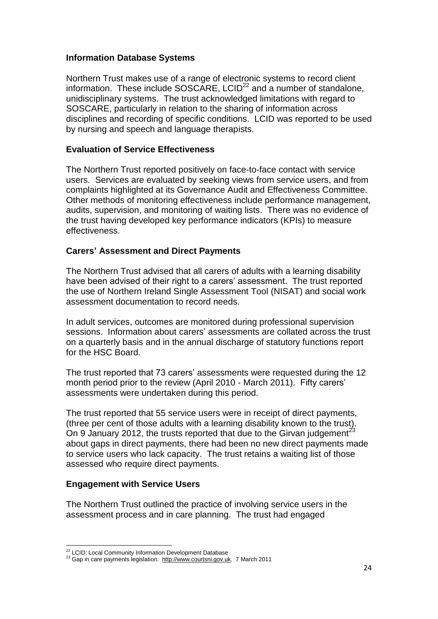## **Information Database Systems**

Northern Trust makes use of a range of electronic systems to record client information. These include  $SOSCARE$ ,  $LCID<sup>22</sup>$  and a number of standalone, unidisciplinary systems. The trust acknowledged limitations with regard to SOSCARE, particularly in relation to the sharing of information across disciplines and recording of specific conditions. LCID was reported to be used by nursing and speech and language therapists.

# **Evaluation of Service Effectiveness**

The Northern Trust reported positively on face-to-face contact with service users. Services are evaluated by seeking views from service users, and from complaints highlighted at its Governance Audit and Effectiveness Committee. Other methods of monitoring effectiveness include performance management, audits, supervision, and monitoring of waiting lists. There was no evidence of the trust having developed key performance indicators (KPIs) to measure effectiveness.

#### **Carers' Assessment and Direct Payments**

The Northern Trust advised that all carers of adults with a learning disability have been advised of their right to a carers' assessment. The trust reported the use of Northern Ireland Single Assessment Tool (NISAT) and social work assessment documentation to record needs.

In adult services, outcomes are monitored during professional supervision sessions. Information about carers" assessments are collated across the trust on a quarterly basis and in the annual discharge of statutory functions report for the HSC Board.

The trust reported that 73 carers' assessments were requested during the 12 month period prior to the review (April 2010 - March 2011). Fifty carers" assessments were undertaken during this period.

The trust reported that 55 service users were in receipt of direct payments, (three per cent of those adults with a learning disability known to the trust). On 9 January 2012, the trusts reported that due to the Girvan iudgement<sup>23</sup> about gaps in direct payments, there had been no new direct payments made to service users who lack capacity. The trust retains a waiting list of those assessed who require direct payments.

#### **Engagement with Service Users**

The Northern Trust outlined the practice of involving service users in the assessment process and in care planning. The trust had engaged

 $\overline{a}$ <sup>22</sup> LCID; Local Community Information Development Database

<sup>&</sup>lt;sup>23</sup> Gap in care payments legislation. [http://www.courtsni.gov.uk.](http://www.courtsni.gov.uk/) 7 March 2011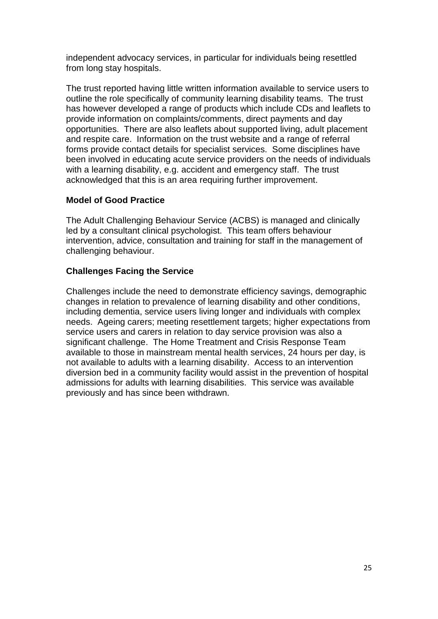independent advocacy services, in particular for individuals being resettled from long stay hospitals.

The trust reported having little written information available to service users to outline the role specifically of community learning disability teams. The trust has however developed a range of products which include CDs and leaflets to provide information on complaints/comments, direct payments and day opportunities. There are also leaflets about supported living, adult placement and respite care. Information on the trust website and a range of referral forms provide contact details for specialist services. Some disciplines have been involved in educating acute service providers on the needs of individuals with a learning disability, e.g. accident and emergency staff. The trust acknowledged that this is an area requiring further improvement.

# **Model of Good Practice**

The Adult Challenging Behaviour Service (ACBS) is managed and clinically led by a consultant clinical psychologist. This team offers behaviour intervention, advice, consultation and training for staff in the management of challenging behaviour.

# **Challenges Facing the Service**

Challenges include the need to demonstrate efficiency savings, demographic changes in relation to prevalence of learning disability and other conditions, including dementia, service users living longer and individuals with complex needs. Ageing carers; meeting resettlement targets; higher expectations from service users and carers in relation to day service provision was also a significant challenge. The Home Treatment and Crisis Response Team available to those in mainstream mental health services, 24 hours per day, is not available to adults with a learning disability. Access to an intervention diversion bed in a community facility would assist in the prevention of hospital admissions for adults with learning disabilities. This service was available previously and has since been withdrawn.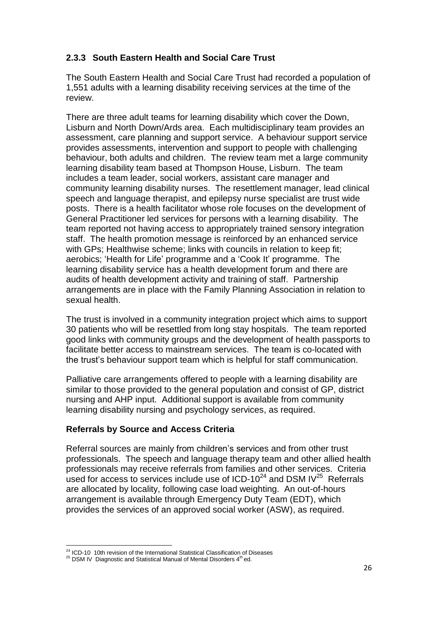# **2.3.3 South Eastern Health and Social Care Trust**

The South Eastern Health and Social Care Trust had recorded a population of 1,551 adults with a learning disability receiving services at the time of the review.

There are three adult teams for learning disability which cover the Down, Lisburn and North Down/Ards area. Each multidisciplinary team provides an assessment, care planning and support service. A behaviour support service provides assessments, intervention and support to people with challenging behaviour, both adults and children. The review team met a large community learning disability team based at Thompson House, Lisburn. The team includes a team leader, social workers, assistant care manager and community learning disability nurses. The resettlement manager, lead clinical speech and language therapist, and epilepsy nurse specialist are trust wide posts. There is a health facilitator whose role focuses on the development of General Practitioner led services for persons with a learning disability. The team reported not having access to appropriately trained sensory integration staff. The health promotion message is reinforced by an enhanced service with GPs; Healthwise scheme; links with councils in relation to keep fit; aerobics; "Health for Life" programme and a "Cook It" programme. The learning disability service has a health development forum and there are audits of health development activity and training of staff. Partnership arrangements are in place with the Family Planning Association in relation to sexual health.

The trust is involved in a community integration project which aims to support 30 patients who will be resettled from long stay hospitals. The team reported good links with community groups and the development of health passports to facilitate better access to mainstream services. The team is co-located with the trust"s behaviour support team which is helpful for staff communication.

Palliative care arrangements offered to people with a learning disability are similar to those provided to the general population and consist of GP, district nursing and AHP input. Additional support is available from community learning disability nursing and psychology services, as required.

# **Referrals by Source and Access Criteria**

Referral sources are mainly from children"s services and from other trust professionals. The speech and language therapy team and other allied health professionals may receive referrals from families and other services. Criteria used for access to services include use of ICD-10<sup>24</sup> and DSM IV<sup>25</sup> Referrals are allocated by locality, following case load weighting. An out-of-hours arrangement is available through Emergency Duty Team (EDT), which provides the services of an approved social worker (ASW), as required.

 $\overline{a}$ <sup>24</sup> ICD-10 10th revision of the International Statistical Classification of Diseases

 $25$  DSM IV Diagnostic and Statistical Manual of Mental Disorders  $4<sup>th</sup>$ ed.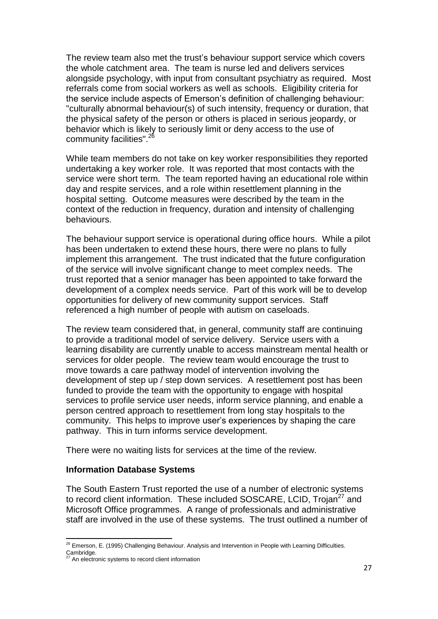The review team also met the trust"s behaviour support service which covers the whole catchment area. The team is nurse led and delivers services alongside psychology, with input from consultant psychiatry as required. Most referrals come from social workers as well as schools. Eligibility criteria for the service include aspects of Emerson"s definition of challenging behaviour: "culturally abnormal behaviour(s) of such intensity, frequency or duration, that the physical safety of the person or others is placed in serious jeopardy, or behavior which is likely to seriously limit or deny access to the use of community facilities".<sup>26</sup>

While team members do not take on key worker responsibilities they reported undertaking a key worker role. It was reported that most contacts with the service were short term. The team reported having an educational role within day and respite services, and a role within resettlement planning in the hospital setting. Outcome measures were described by the team in the context of the reduction in frequency, duration and intensity of challenging behaviours.

The behaviour support service is operational during office hours. While a pilot has been undertaken to extend these hours, there were no plans to fully implement this arrangement. The trust indicated that the future configuration of the service will involve significant change to meet complex needs. The trust reported that a senior manager has been appointed to take forward the development of a complex needs service. Part of this work will be to develop opportunities for delivery of new community support services. Staff referenced a high number of people with autism on caseloads.

The review team considered that, in general, community staff are continuing to provide a traditional model of service delivery. Service users with a learning disability are currently unable to access mainstream mental health or services for older people. The review team would encourage the trust to move towards a care pathway model of intervention involving the development of step up / step down services. A resettlement post has been funded to provide the team with the opportunity to engage with hospital services to profile service user needs, inform service planning, and enable a person centred approach to resettlement from long stay hospitals to the community. This helps to improve user"s experiences by shaping the care pathway. This in turn informs service development.

There were no waiting lists for services at the time of the review.

#### **Information Database Systems**

The South Eastern Trust reported the use of a number of electronic systems to record client information. These included SOSCARE, LCID, Trojan<sup>27</sup> and Microsoft Office programmes. A range of professionals and administrative staff are involved in the use of these systems. The trust outlined a number of

 $\overline{a}$  $^{26}$  Emerson, E. (1995) Challenging Behaviour. Analysis and Intervention in People with Learning Difficulties. Cambridge.

An electronic systems to record client information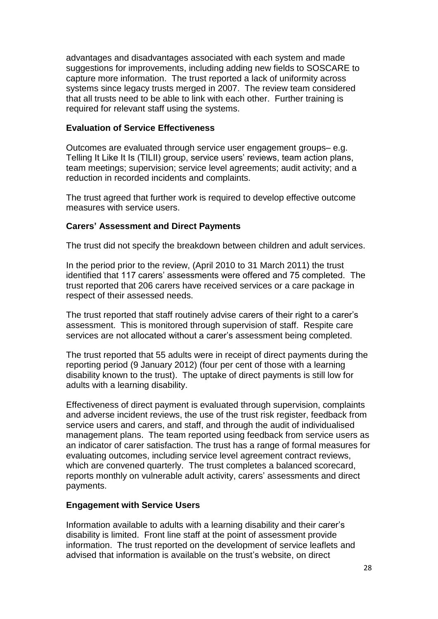advantages and disadvantages associated with each system and made suggestions for improvements, including adding new fields to SOSCARE to capture more information. The trust reported a lack of uniformity across systems since legacy trusts merged in 2007. The review team considered that all trusts need to be able to link with each other. Further training is required for relevant staff using the systems.

#### **Evaluation of Service Effectiveness**

Outcomes are evaluated through service user engagement groups– e.g. Telling It Like It Is (TILII) group, service users" reviews, team action plans, team meetings; supervision; service level agreements; audit activity; and a reduction in recorded incidents and complaints.

The trust agreed that further work is required to develop effective outcome measures with service users.

# **Carers' Assessment and Direct Payments**

The trust did not specify the breakdown between children and adult services.

In the period prior to the review, (April 2010 to 31 March 2011) the trust identified that 117 carers' assessments were offered and 75 completed. The trust reported that 206 carers have received services or a care package in respect of their assessed needs.

The trust reported that staff routinely advise carers of their right to a carer"s assessment. This is monitored through supervision of staff. Respite care services are not allocated without a carer's assessment being completed.

The trust reported that 55 adults were in receipt of direct payments during the reporting period (9 January 2012) (four per cent of those with a learning disability known to the trust). The uptake of direct payments is still low for adults with a learning disability.

Effectiveness of direct payment is evaluated through supervision, complaints and adverse incident reviews, the use of the trust risk register, feedback from service users and carers, and staff, and through the audit of individualised management plans. The team reported using feedback from service users as an indicator of carer satisfaction. The trust has a range of formal measures for evaluating outcomes, including service level agreement contract reviews, which are convened quarterly. The trust completes a balanced scorecard, reports monthly on vulnerable adult activity, carers' assessments and direct payments.

#### **Engagement with Service Users**

Information available to adults with a learning disability and their carer"s disability is limited. Front line staff at the point of assessment provide information. The trust reported on the development of service leaflets and advised that information is available on the trust"s website, on direct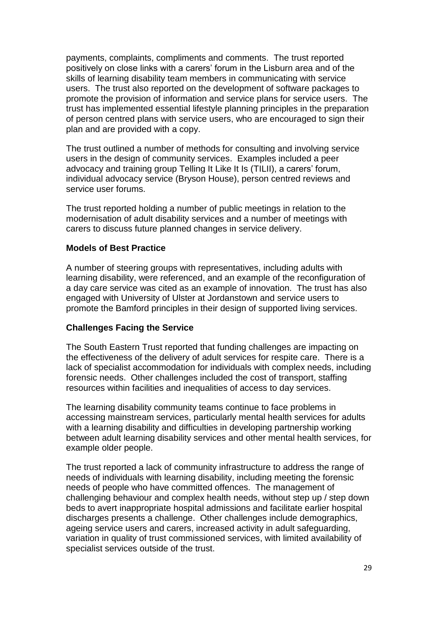payments, complaints, compliments and comments. The trust reported positively on close links with a carers" forum in the Lisburn area and of the skills of learning disability team members in communicating with service users. The trust also reported on the development of software packages to promote the provision of information and service plans for service users. The trust has implemented essential lifestyle planning principles in the preparation of person centred plans with service users, who are encouraged to sign their plan and are provided with a copy.

The trust outlined a number of methods for consulting and involving service users in the design of community services. Examples included a peer advocacy and training group Telling It Like It Is (TILII), a carers" forum, individual advocacy service (Bryson House), person centred reviews and service user forums.

The trust reported holding a number of public meetings in relation to the modernisation of adult disability services and a number of meetings with carers to discuss future planned changes in service delivery.

#### **Models of Best Practice**

A number of steering groups with representatives, including adults with learning disability, were referenced, and an example of the reconfiguration of a day care service was cited as an example of innovation. The trust has also engaged with University of Ulster at Jordanstown and service users to promote the Bamford principles in their design of supported living services.

#### **Challenges Facing the Service**

The South Eastern Trust reported that funding challenges are impacting on the effectiveness of the delivery of adult services for respite care. There is a lack of specialist accommodation for individuals with complex needs, including forensic needs. Other challenges included the cost of transport, staffing resources within facilities and inequalities of access to day services.

The learning disability community teams continue to face problems in accessing mainstream services, particularly mental health services for adults with a learning disability and difficulties in developing partnership working between adult learning disability services and other mental health services, for example older people.

The trust reported a lack of community infrastructure to address the range of needs of individuals with learning disability, including meeting the forensic needs of people who have committed offences. The management of challenging behaviour and complex health needs, without step up / step down beds to avert inappropriate hospital admissions and facilitate earlier hospital discharges presents a challenge. Other challenges include demographics, ageing service users and carers, increased activity in adult safeguarding, variation in quality of trust commissioned services, with limited availability of specialist services outside of the trust.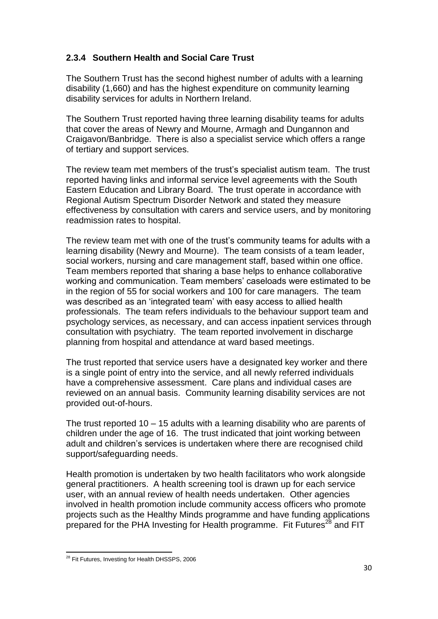# **2.3.4 Southern Health and Social Care Trust**

The Southern Trust has the second highest number of adults with a learning disability (1,660) and has the highest expenditure on community learning disability services for adults in Northern Ireland.

The Southern Trust reported having three learning disability teams for adults that cover the areas of Newry and Mourne, Armagh and Dungannon and Craigavon/Banbridge. There is also a specialist service which offers a range of tertiary and support services.

The review team met members of the trust"s specialist autism team. The trust reported having links and informal service level agreements with the South Eastern Education and Library Board. The trust operate in accordance with Regional Autism Spectrum Disorder Network and stated they measure effectiveness by consultation with carers and service users, and by monitoring readmission rates to hospital.

The review team met with one of the trust"s community teams for adults with a learning disability (Newry and Mourne). The team consists of a team leader, social workers, nursing and care management staff, based within one office. Team members reported that sharing a base helps to enhance collaborative working and communication. Team members' caseloads were estimated to be in the region of 55 for social workers and 100 for care managers. The team was described as an "integrated team" with easy access to allied health professionals. The team refers individuals to the behaviour support team and psychology services, as necessary, and can access inpatient services through consultation with psychiatry. The team reported involvement in discharge planning from hospital and attendance at ward based meetings.

The trust reported that service users have a designated key worker and there is a single point of entry into the service, and all newly referred individuals have a comprehensive assessment. Care plans and individual cases are reviewed on an annual basis. Community learning disability services are not provided out-of-hours.

The trust reported 10 – 15 adults with a learning disability who are parents of children under the age of 16. The trust indicated that joint working between adult and children"s services is undertaken where there are recognised child support/safeguarding needs.

Health promotion is undertaken by two health facilitators who work alongside general practitioners. A health screening tool is drawn up for each service user, with an annual review of health needs undertaken. Other agencies involved in health promotion include community access officers who promote projects such as the Healthy Minds programme and have funding applications prepared for the PHA Investing for Health programme. Fit Futures<sup>28</sup> and FIT

 $\ddot{\phantom{a}}$ <sup>28</sup> Fit Futures, Investing for Health DHSSPS, 2006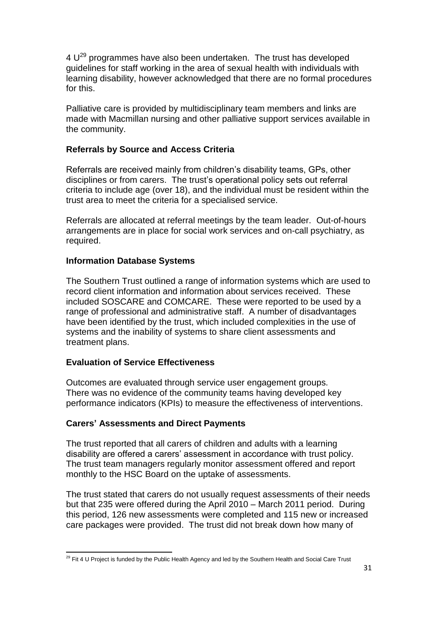$4 U^{29}$  programmes have also been undertaken. The trust has developed guidelines for staff working in the area of sexual health with individuals with learning disability, however acknowledged that there are no formal procedures for this.

Palliative care is provided by multidisciplinary team members and links are made with Macmillan nursing and other palliative support services available in the community.

# **Referrals by Source and Access Criteria**

Referrals are received mainly from children's disability teams, GPs, other disciplines or from carers. The trust"s operational policy sets out referral criteria to include age (over 18), and the individual must be resident within the trust area to meet the criteria for a specialised service.

Referrals are allocated at referral meetings by the team leader. Out-of-hours arrangements are in place for social work services and on-call psychiatry, as required.

#### **Information Database Systems**

The Southern Trust outlined a range of information systems which are used to record client information and information about services received. These included SOSCARE and COMCARE. These were reported to be used by a range of professional and administrative staff. A number of disadvantages have been identified by the trust, which included complexities in the use of systems and the inability of systems to share client assessments and treatment plans.

#### **Evaluation of Service Effectiveness**

Outcomes are evaluated through service user engagement groups. There was no evidence of the community teams having developed key performance indicators (KPIs) to measure the effectiveness of interventions.

#### **Carers' Assessments and Direct Payments**

The trust reported that all carers of children and adults with a learning disability are offered a carers' assessment in accordance with trust policy. The trust team managers regularly monitor assessment offered and report monthly to the HSC Board on the uptake of assessments.

The trust stated that carers do not usually request assessments of their needs but that 235 were offered during the April 2010 – March 2011 period. During this period, 126 new assessments were completed and 115 new or increased care packages were provided. The trust did not break down how many of

 $\ddot{\phantom{a}}$  $^{29}$  Fit 4 U Project is funded by the Public Health Agency and led by the Southern Health and Social Care Trust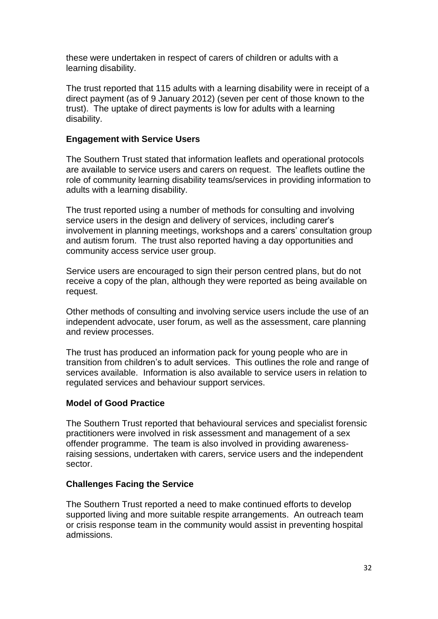these were undertaken in respect of carers of children or adults with a learning disability.

The trust reported that 115 adults with a learning disability were in receipt of a direct payment (as of 9 January 2012) (seven per cent of those known to the trust). The uptake of direct payments is low for adults with a learning disability.

#### **Engagement with Service Users**

The Southern Trust stated that information leaflets and operational protocols are available to service users and carers on request. The leaflets outline the role of community learning disability teams/services in providing information to adults with a learning disability.

The trust reported using a number of methods for consulting and involving service users in the design and delivery of services, including carer"s involvement in planning meetings, workshops and a carers" consultation group and autism forum. The trust also reported having a day opportunities and community access service user group.

Service users are encouraged to sign their person centred plans, but do not receive a copy of the plan, although they were reported as being available on request.

Other methods of consulting and involving service users include the use of an independent advocate, user forum, as well as the assessment, care planning and review processes.

The trust has produced an information pack for young people who are in transition from children"s to adult services. This outlines the role and range of services available. Information is also available to service users in relation to regulated services and behaviour support services.

#### **Model of Good Practice**

The Southern Trust reported that behavioural services and specialist forensic practitioners were involved in risk assessment and management of a sex offender programme. The team is also involved in providing awarenessraising sessions, undertaken with carers, service users and the independent sector.

#### **Challenges Facing the Service**

The Southern Trust reported a need to make continued efforts to develop supported living and more suitable respite arrangements. An outreach team or crisis response team in the community would assist in preventing hospital admissions.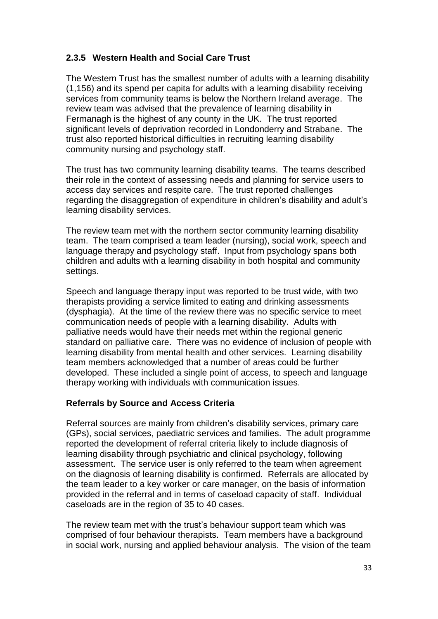# **2.3.5 Western Health and Social Care Trust**

The Western Trust has the smallest number of adults with a learning disability (1,156) and its spend per capita for adults with a learning disability receiving services from community teams is below the Northern Ireland average. The review team was advised that the prevalence of learning disability in Fermanagh is the highest of any county in the UK. The trust reported significant levels of deprivation recorded in Londonderry and Strabane. The trust also reported historical difficulties in recruiting learning disability community nursing and psychology staff.

The trust has two community learning disability teams. The teams described their role in the context of assessing needs and planning for service users to access day services and respite care. The trust reported challenges regarding the disaggregation of expenditure in children"s disability and adult"s learning disability services.

The review team met with the northern sector community learning disability team. The team comprised a team leader (nursing), social work, speech and language therapy and psychology staff. Input from psychology spans both children and adults with a learning disability in both hospital and community settings.

Speech and language therapy input was reported to be trust wide, with two therapists providing a service limited to eating and drinking assessments (dysphagia). At the time of the review there was no specific service to meet communication needs of people with a learning disability. Adults with palliative needs would have their needs met within the regional generic standard on palliative care. There was no evidence of inclusion of people with learning disability from mental health and other services. Learning disability team members acknowledged that a number of areas could be further developed. These included a single point of access, to speech and language therapy working with individuals with communication issues.

# **Referrals by Source and Access Criteria**

Referral sources are mainly from children"s disability services, primary care (GPs), social services, paediatric services and families. The adult programme reported the development of referral criteria likely to include diagnosis of learning disability through psychiatric and clinical psychology, following assessment. The service user is only referred to the team when agreement on the diagnosis of learning disability is confirmed. Referrals are allocated by the team leader to a key worker or care manager, on the basis of information provided in the referral and in terms of caseload capacity of staff. Individual caseloads are in the region of 35 to 40 cases.

The review team met with the trust"s behaviour support team which was comprised of four behaviour therapists. Team members have a background in social work, nursing and applied behaviour analysis. The vision of the team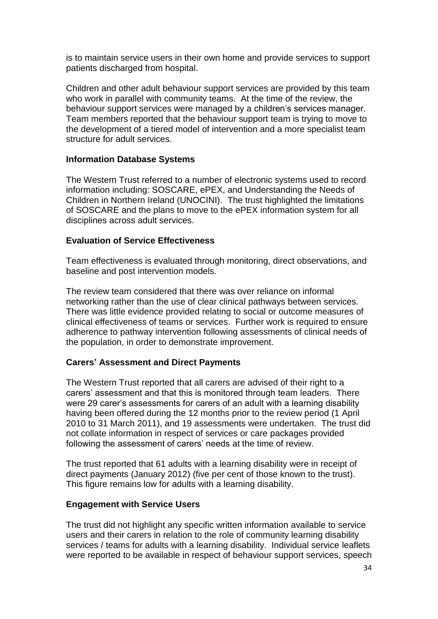is to maintain service users in their own home and provide services to support patients discharged from hospital.

Children and other adult behaviour support services are provided by this team who work in parallel with community teams. At the time of the review, the behaviour support services were managed by a children"s services manager. Team members reported that the behaviour support team is trying to move to the development of a tiered model of intervention and a more specialist team structure for adult services.

#### **Information Database Systems**

The Western Trust referred to a number of electronic systems used to record information including: SOSCARE, ePEX, and Understanding the Needs of Children in Northern Ireland (UNOCINI). The trust highlighted the limitations of SOSCARE and the plans to move to the ePEX information system for all disciplines across adult services.

#### **Evaluation of Service Effectiveness**

Team effectiveness is evaluated through monitoring, direct observations, and baseline and post intervention models.

The review team considered that there was over reliance on informal networking rather than the use of clear clinical pathways between services. There was little evidence provided relating to social or outcome measures of clinical effectiveness of teams or services. Further work is required to ensure adherence to pathway intervention following assessments of clinical needs of the population, in order to demonstrate improvement.

#### **Carers' Assessment and Direct Payments**

The Western Trust reported that all carers are advised of their right to a carers" assessment and that this is monitored through team leaders. There were 29 carer"s assessments for carers of an adult with a learning disability having been offered during the 12 months prior to the review period (1 April 2010 to 31 March 2011), and 19 assessments were undertaken. The trust did not collate information in respect of services or care packages provided following the assessment of carers' needs at the time of review.

The trust reported that 61 adults with a learning disability were in receipt of direct payments (January 2012) (five per cent of those known to the trust). This figure remains low for adults with a learning disability.

#### **Engagement with Service Users**

The trust did not highlight any specific written information available to service users and their carers in relation to the role of community learning disability services / teams for adults with a learning disability. Individual service leaflets were reported to be available in respect of behaviour support services, speech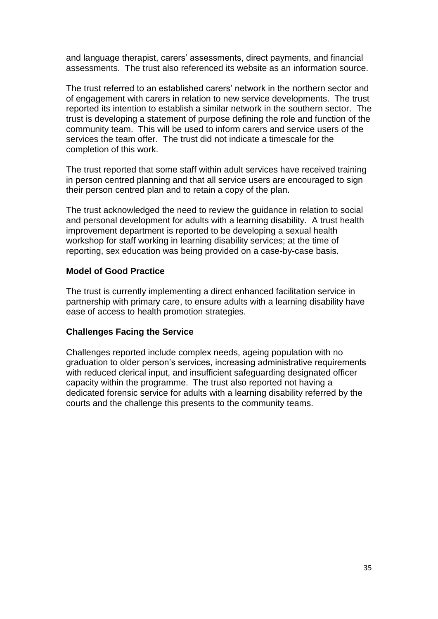and language therapist, carers' assessments, direct payments, and financial assessments. The trust also referenced its website as an information source.

The trust referred to an established carers" network in the northern sector and of engagement with carers in relation to new service developments. The trust reported its intention to establish a similar network in the southern sector. The trust is developing a statement of purpose defining the role and function of the community team. This will be used to inform carers and service users of the services the team offer. The trust did not indicate a timescale for the completion of this work.

The trust reported that some staff within adult services have received training in person centred planning and that all service users are encouraged to sign their person centred plan and to retain a copy of the plan.

The trust acknowledged the need to review the guidance in relation to social and personal development for adults with a learning disability. A trust health improvement department is reported to be developing a sexual health workshop for staff working in learning disability services; at the time of reporting, sex education was being provided on a case-by-case basis.

#### **Model of Good Practice**

The trust is currently implementing a direct enhanced facilitation service in partnership with primary care, to ensure adults with a learning disability have ease of access to health promotion strategies.

# **Challenges Facing the Service**

Challenges reported include complex needs, ageing population with no graduation to older person"s services, increasing administrative requirements with reduced clerical input, and insufficient safeguarding designated officer capacity within the programme. The trust also reported not having a dedicated forensic service for adults with a learning disability referred by the courts and the challenge this presents to the community teams.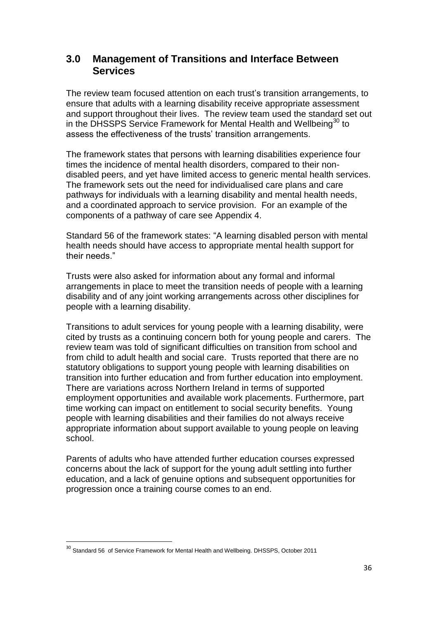# **3.0 Management of Transitions and Interface Between Services**

The review team focused attention on each trust's transition arrangements, to ensure that adults with a learning disability receive appropriate assessment and support throughout their lives. The review team used the standard set out in the DHSSPS Service Framework for Mental Health and Wellbeing<sup>30</sup> to assess the effectiveness of the trusts' transition arrangements.

The framework states that persons with learning disabilities experience four times the incidence of mental health disorders, compared to their nondisabled peers, and yet have limited access to generic mental health services. The framework sets out the need for individualised care plans and care pathways for individuals with a learning disability and mental health needs, and a coordinated approach to service provision. For an example of the components of a pathway of care see Appendix 4.

Standard 56 of the framework states: "A learning disabled person with mental health needs should have access to appropriate mental health support for their needs."

Trusts were also asked for information about any formal and informal arrangements in place to meet the transition needs of people with a learning disability and of any joint working arrangements across other disciplines for people with a learning disability.

Transitions to adult services for young people with a learning disability, were cited by trusts as a continuing concern both for young people and carers. The review team was told of significant difficulties on transition from school and from child to adult health and social care. Trusts reported that there are no statutory obligations to support young people with learning disabilities on transition into further education and from further education into employment. There are variations across Northern Ireland in terms of supported employment opportunities and available work placements. Furthermore, part time working can impact on entitlement to social security benefits. Young people with learning disabilities and their families do not always receive appropriate information about support available to young people on leaving school.

Parents of adults who have attended further education courses expressed concerns about the lack of support for the young adult settling into further education, and a lack of genuine options and subsequent opportunities for progression once a training course comes to an end.

 $\overline{a}$ 

<sup>&</sup>lt;sup>30</sup> Standard 56 of Service Framework for Mental Health and Wellbeing. DHSSPS, October 2011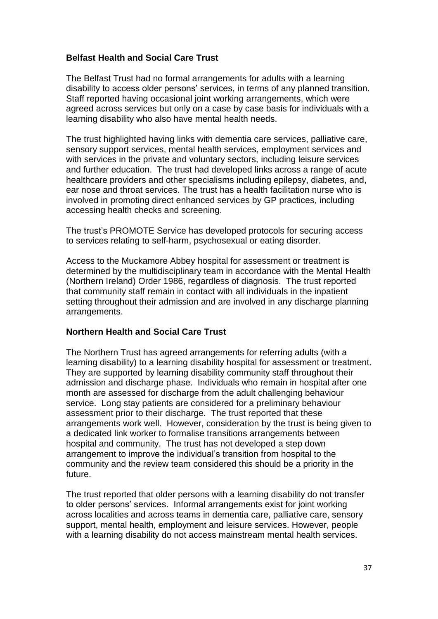# **Belfast Health and Social Care Trust**

The Belfast Trust had no formal arrangements for adults with a learning disability to access older persons" services, in terms of any planned transition. Staff reported having occasional joint working arrangements, which were agreed across services but only on a case by case basis for individuals with a learning disability who also have mental health needs.

The trust highlighted having links with dementia care services, palliative care, sensory support services, mental health services, employment services and with services in the private and voluntary sectors, including leisure services and further education. The trust had developed links across a range of acute healthcare providers and other specialisms including epilepsy, diabetes, and, ear nose and throat services. The trust has a health facilitation nurse who is involved in promoting direct enhanced services by GP practices, including accessing health checks and screening.

The trust"s PROMOTE Service has developed protocols for securing access to services relating to self-harm, psychosexual or eating disorder.

Access to the Muckamore Abbey hospital for assessment or treatment is determined by the multidisciplinary team in accordance with the Mental Health (Northern Ireland) Order 1986, regardless of diagnosis. The trust reported that community staff remain in contact with all individuals in the inpatient setting throughout their admission and are involved in any discharge planning arrangements.

#### **Northern Health and Social Care Trust**

The Northern Trust has agreed arrangements for referring adults (with a learning disability) to a learning disability hospital for assessment or treatment. They are supported by learning disability community staff throughout their admission and discharge phase. Individuals who remain in hospital after one month are assessed for discharge from the adult challenging behaviour service. Long stay patients are considered for a preliminary behaviour assessment prior to their discharge. The trust reported that these arrangements work well. However, consideration by the trust is being given to a dedicated link worker to formalise transitions arrangements between hospital and community. The trust has not developed a step down arrangement to improve the individual"s transition from hospital to the community and the review team considered this should be a priority in the future.

The trust reported that older persons with a learning disability do not transfer to older persons" services. Informal arrangements exist for joint working across localities and across teams in dementia care, palliative care, sensory support, mental health, employment and leisure services. However, people with a learning disability do not access mainstream mental health services.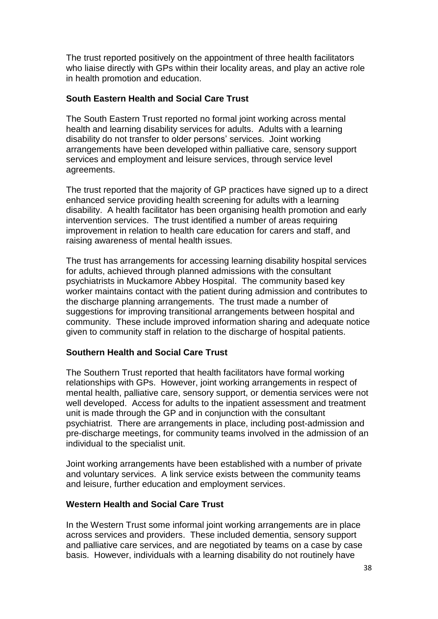The trust reported positively on the appointment of three health facilitators who liaise directly with GPs within their locality areas, and play an active role in health promotion and education.

#### **South Eastern Health and Social Care Trust**

The South Eastern Trust reported no formal joint working across mental health and learning disability services for adults. Adults with a learning disability do not transfer to older persons' services. Joint working arrangements have been developed within palliative care, sensory support services and employment and leisure services, through service level agreements.

The trust reported that the majority of GP practices have signed up to a direct enhanced service providing health screening for adults with a learning disability. A health facilitator has been organising health promotion and early intervention services. The trust identified a number of areas requiring improvement in relation to health care education for carers and staff, and raising awareness of mental health issues.

The trust has arrangements for accessing learning disability hospital services for adults, achieved through planned admissions with the consultant psychiatrists in Muckamore Abbey Hospital. The community based key worker maintains contact with the patient during admission and contributes to the discharge planning arrangements. The trust made a number of suggestions for improving transitional arrangements between hospital and community. These include improved information sharing and adequate notice given to community staff in relation to the discharge of hospital patients.

#### **Southern Health and Social Care Trust**

The Southern Trust reported that health facilitators have formal working relationships with GPs. However, joint working arrangements in respect of mental health, palliative care, sensory support, or dementia services were not well developed. Access for adults to the inpatient assessment and treatment unit is made through the GP and in conjunction with the consultant psychiatrist. There are arrangements in place, including post-admission and pre-discharge meetings, for community teams involved in the admission of an individual to the specialist unit.

Joint working arrangements have been established with a number of private and voluntary services. A link service exists between the community teams and leisure, further education and employment services.

#### **Western Health and Social Care Trust**

In the Western Trust some informal joint working arrangements are in place across services and providers. These included dementia, sensory support and palliative care services, and are negotiated by teams on a case by case basis. However, individuals with a learning disability do not routinely have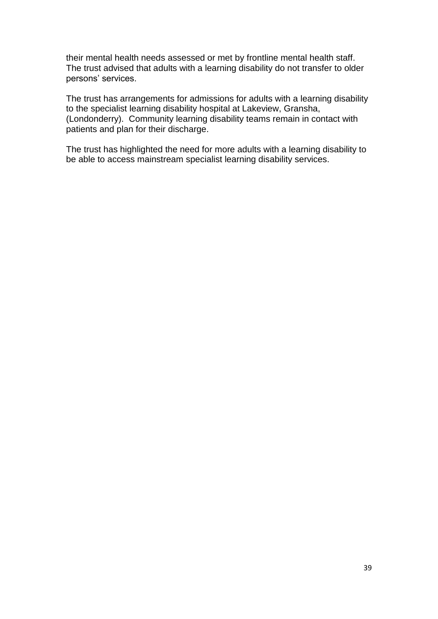their mental health needs assessed or met by frontline mental health staff. The trust advised that adults with a learning disability do not transfer to older persons' services.

The trust has arrangements for admissions for adults with a learning disability to the specialist learning disability hospital at Lakeview, Gransha, (Londonderry). Community learning disability teams remain in contact with patients and plan for their discharge.

The trust has highlighted the need for more adults with a learning disability to be able to access mainstream specialist learning disability services.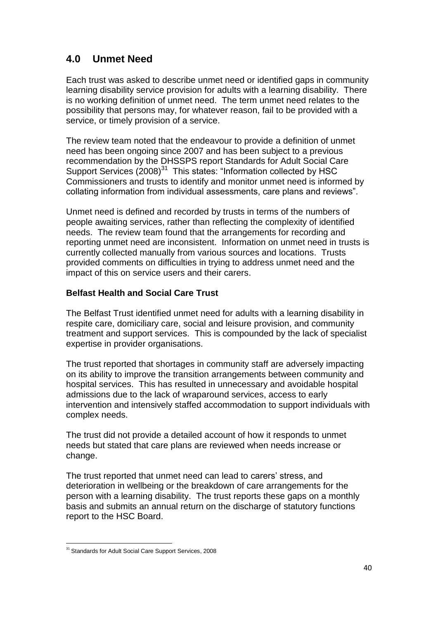# **4.0 Unmet Need**

Each trust was asked to describe unmet need or identified gaps in community learning disability service provision for adults with a learning disability. There is no working definition of unmet need. The term unmet need relates to the possibility that persons may, for whatever reason, fail to be provided with a service, or timely provision of a service.

The review team noted that the endeavour to provide a definition of unmet need has been ongoing since 2007 and has been subject to a previous recommendation by the DHSSPS report Standards for Adult Social Care Support Services (2008)<sup>31</sup> This states: "Information collected by HSC Commissioners and trusts to identify and monitor unmet need is informed by collating information from individual assessments, care plans and reviews".

Unmet need is defined and recorded by trusts in terms of the numbers of people awaiting services, rather than reflecting the complexity of identified needs. The review team found that the arrangements for recording and reporting unmet need are inconsistent. Information on unmet need in trusts is currently collected manually from various sources and locations. Trusts provided comments on difficulties in trying to address unmet need and the impact of this on service users and their carers.

# **Belfast Health and Social Care Trust**

The Belfast Trust identified unmet need for adults with a learning disability in respite care, domiciliary care, social and leisure provision, and community treatment and support services. This is compounded by the lack of specialist expertise in provider organisations.

The trust reported that shortages in community staff are adversely impacting on its ability to improve the transition arrangements between community and hospital services. This has resulted in unnecessary and avoidable hospital admissions due to the lack of wraparound services, access to early intervention and intensively staffed accommodation to support individuals with complex needs.

The trust did not provide a detailed account of how it responds to unmet needs but stated that care plans are reviewed when needs increase or change.

The trust reported that unmet need can lead to carers" stress, and deterioration in wellbeing or the breakdown of care arrangements for the person with a learning disability. The trust reports these gaps on a monthly basis and submits an annual return on the discharge of statutory functions report to the HSC Board.

 $\ddot{\phantom{a}}$ <sup>31</sup> Standards for Adult Social Care Support Services, 2008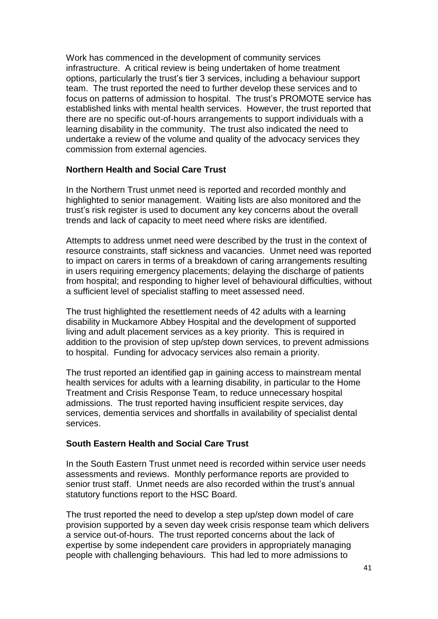Work has commenced in the development of community services infrastructure. A critical review is being undertaken of home treatment options, particularly the trust"s tier 3 services, including a behaviour support team. The trust reported the need to further develop these services and to focus on patterns of admission to hospital. The trust's PROMOTE service has established links with mental health services. However, the trust reported that there are no specific out-of-hours arrangements to support individuals with a learning disability in the community. The trust also indicated the need to undertake a review of the volume and quality of the advocacy services they commission from external agencies.

#### **Northern Health and Social Care Trust**

In the Northern Trust unmet need is reported and recorded monthly and highlighted to senior management. Waiting lists are also monitored and the trust"s risk register is used to document any key concerns about the overall trends and lack of capacity to meet need where risks are identified.

Attempts to address unmet need were described by the trust in the context of resource constraints, staff sickness and vacancies. Unmet need was reported to impact on carers in terms of a breakdown of caring arrangements resulting in users requiring emergency placements; delaying the discharge of patients from hospital; and responding to higher level of behavioural difficulties, without a sufficient level of specialist staffing to meet assessed need.

The trust highlighted the resettlement needs of 42 adults with a learning disability in Muckamore Abbey Hospital and the development of supported living and adult placement services as a key priority. This is required in addition to the provision of step up/step down services, to prevent admissions to hospital. Funding for advocacy services also remain a priority.

The trust reported an identified gap in gaining access to mainstream mental health services for adults with a learning disability, in particular to the Home Treatment and Crisis Response Team, to reduce unnecessary hospital admissions. The trust reported having insufficient respite services, day services, dementia services and shortfalls in availability of specialist dental services.

# **South Eastern Health and Social Care Trust**

In the South Eastern Trust unmet need is recorded within service user needs assessments and reviews. Monthly performance reports are provided to senior trust staff. Unmet needs are also recorded within the trust's annual statutory functions report to the HSC Board.

The trust reported the need to develop a step up/step down model of care provision supported by a seven day week crisis response team which delivers a service out-of-hours. The trust reported concerns about the lack of expertise by some independent care providers in appropriately managing people with challenging behaviours. This had led to more admissions to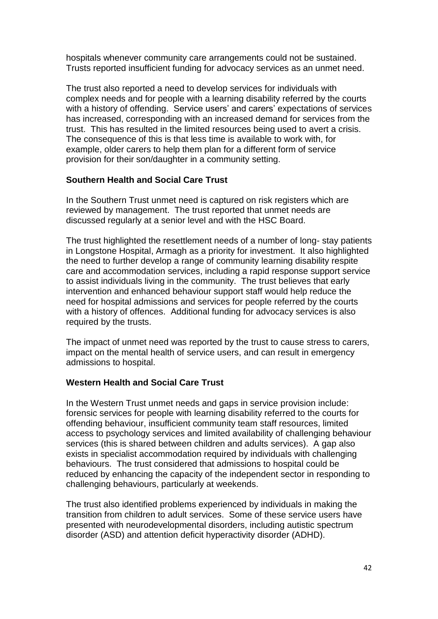hospitals whenever community care arrangements could not be sustained. Trusts reported insufficient funding for advocacy services as an unmet need.

The trust also reported a need to develop services for individuals with complex needs and for people with a learning disability referred by the courts with a history of offending. Service users' and carers' expectations of services has increased, corresponding with an increased demand for services from the trust. This has resulted in the limited resources being used to avert a crisis. The consequence of this is that less time is available to work with, for example, older carers to help them plan for a different form of service provision for their son/daughter in a community setting.

#### **Southern Health and Social Care Trust**

In the Southern Trust unmet need is captured on risk registers which are reviewed by management. The trust reported that unmet needs are discussed regularly at a senior level and with the HSC Board.

The trust highlighted the resettlement needs of a number of long- stay patients in Longstone Hospital, Armagh as a priority for investment. It also highlighted the need to further develop a range of community learning disability respite care and accommodation services, including a rapid response support service to assist individuals living in the community. The trust believes that early intervention and enhanced behaviour support staff would help reduce the need for hospital admissions and services for people referred by the courts with a history of offences. Additional funding for advocacy services is also required by the trusts.

The impact of unmet need was reported by the trust to cause stress to carers, impact on the mental health of service users, and can result in emergency admissions to hospital.

# **Western Health and Social Care Trust**

In the Western Trust unmet needs and gaps in service provision include: forensic services for people with learning disability referred to the courts for offending behaviour, insufficient community team staff resources, limited access to psychology services and limited availability of challenging behaviour services (this is shared between children and adults services). A gap also exists in specialist accommodation required by individuals with challenging behaviours. The trust considered that admissions to hospital could be reduced by enhancing the capacity of the independent sector in responding to challenging behaviours, particularly at weekends.

The trust also identified problems experienced by individuals in making the transition from children to adult services. Some of these service users have presented with neurodevelopmental disorders, including autistic spectrum disorder (ASD) and attention deficit hyperactivity disorder (ADHD).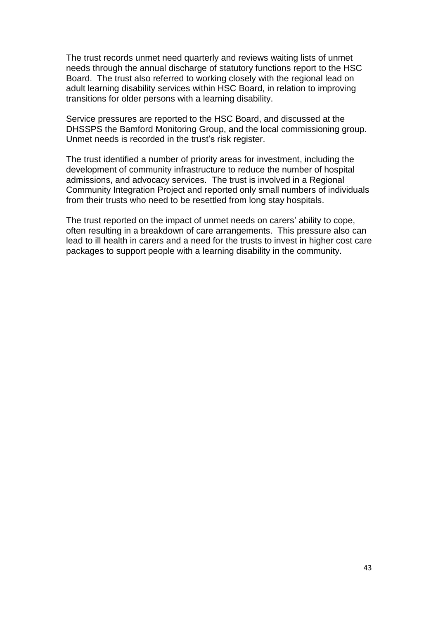The trust records unmet need quarterly and reviews waiting lists of unmet needs through the annual discharge of statutory functions report to the HSC Board. The trust also referred to working closely with the regional lead on adult learning disability services within HSC Board, in relation to improving transitions for older persons with a learning disability.

Service pressures are reported to the HSC Board, and discussed at the DHSSPS the Bamford Monitoring Group, and the local commissioning group. Unmet needs is recorded in the trust's risk register.

The trust identified a number of priority areas for investment, including the development of community infrastructure to reduce the number of hospital admissions, and advocacy services. The trust is involved in a Regional Community Integration Project and reported only small numbers of individuals from their trusts who need to be resettled from long stay hospitals.

The trust reported on the impact of unmet needs on carers' ability to cope, often resulting in a breakdown of care arrangements. This pressure also can lead to ill health in carers and a need for the trusts to invest in higher cost care packages to support people with a learning disability in the community.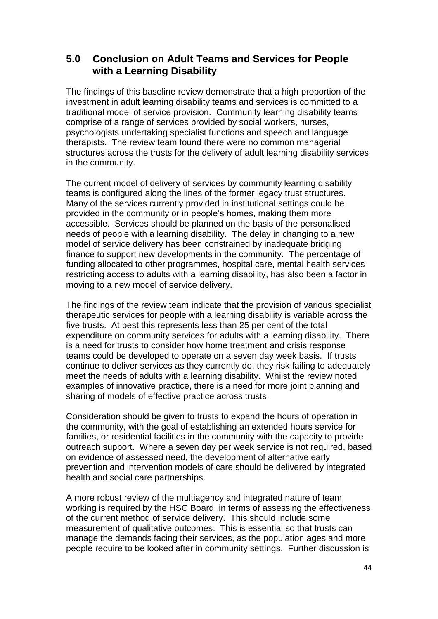# **5.0 Conclusion on Adult Teams and Services for People with a Learning Disability**

The findings of this baseline review demonstrate that a high proportion of the investment in adult learning disability teams and services is committed to a traditional model of service provision. Community learning disability teams comprise of a range of services provided by social workers, nurses, psychologists undertaking specialist functions and speech and language therapists. The review team found there were no common managerial structures across the trusts for the delivery of adult learning disability services in the community.

The current model of delivery of services by community learning disability teams is configured along the lines of the former legacy trust structures. Many of the services currently provided in institutional settings could be provided in the community or in people"s homes, making them more accessible. Services should be planned on the basis of the personalised needs of people with a learning disability. The delay in changing to a new model of service delivery has been constrained by inadequate bridging finance to support new developments in the community. The percentage of funding allocated to other programmes, hospital care, mental health services restricting access to adults with a learning disability, has also been a factor in moving to a new model of service delivery.

The findings of the review team indicate that the provision of various specialist therapeutic services for people with a learning disability is variable across the five trusts. At best this represents less than 25 per cent of the total expenditure on community services for adults with a learning disability. There is a need for trusts to consider how home treatment and crisis response teams could be developed to operate on a seven day week basis. If trusts continue to deliver services as they currently do, they risk failing to adequately meet the needs of adults with a learning disability. Whilst the review noted examples of innovative practice, there is a need for more joint planning and sharing of models of effective practice across trusts.

Consideration should be given to trusts to expand the hours of operation in the community, with the goal of establishing an extended hours service for families, or residential facilities in the community with the capacity to provide outreach support. Where a seven day per week service is not required, based on evidence of assessed need, the development of alternative early prevention and intervention models of care should be delivered by integrated health and social care partnerships.

A more robust review of the multiagency and integrated nature of team working is required by the HSC Board, in terms of assessing the effectiveness of the current method of service delivery. This should include some measurement of qualitative outcomes. This is essential so that trusts can manage the demands facing their services, as the population ages and more people require to be looked after in community settings. Further discussion is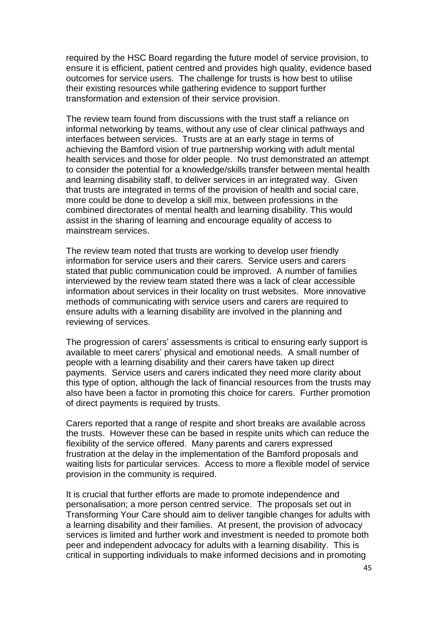required by the HSC Board regarding the future model of service provision, to ensure it is efficient, patient centred and provides high quality, evidence based outcomes for service users. The challenge for trusts is how best to utilise their existing resources while gathering evidence to support further transformation and extension of their service provision.

The review team found from discussions with the trust staff a reliance on informal networking by teams, without any use of clear clinical pathways and interfaces between services. Trusts are at an early stage in terms of achieving the Bamford vision of true partnership working with adult mental health services and those for older people. No trust demonstrated an attempt to consider the potential for a knowledge/skills transfer between mental health and learning disability staff, to deliver services in an integrated way. Given that trusts are integrated in terms of the provision of health and social care, more could be done to develop a skill mix, between professions in the combined directorates of mental health and learning disability. This would assist in the sharing of learning and encourage equality of access to mainstream services.

The review team noted that trusts are working to develop user friendly information for service users and their carers. Service users and carers stated that public communication could be improved. A number of families interviewed by the review team stated there was a lack of clear accessible information about services in their locality on trust websites. More innovative methods of communicating with service users and carers are required to ensure adults with a learning disability are involved in the planning and reviewing of services.

The progression of carers" assessments is critical to ensuring early support is available to meet carers" physical and emotional needs. A small number of people with a learning disability and their carers have taken up direct payments. Service users and carers indicated they need more clarity about this type of option, although the lack of financial resources from the trusts may also have been a factor in promoting this choice for carers. Further promotion of direct payments is required by trusts.

Carers reported that a range of respite and short breaks are available across the trusts. However these can be based in respite units which can reduce the flexibility of the service offered. Many parents and carers expressed frustration at the delay in the implementation of the Bamford proposals and waiting lists for particular services. Access to more a flexible model of service provision in the community is required.

It is crucial that further efforts are made to promote independence and personalisation; a more person centred service. The proposals set out in Transforming Your Care should aim to deliver tangible changes for adults with a learning disability and their families. At present, the provision of advocacy services is limited and further work and investment is needed to promote both peer and independent advocacy for adults with a learning disability. This is critical in supporting individuals to make informed decisions and in promoting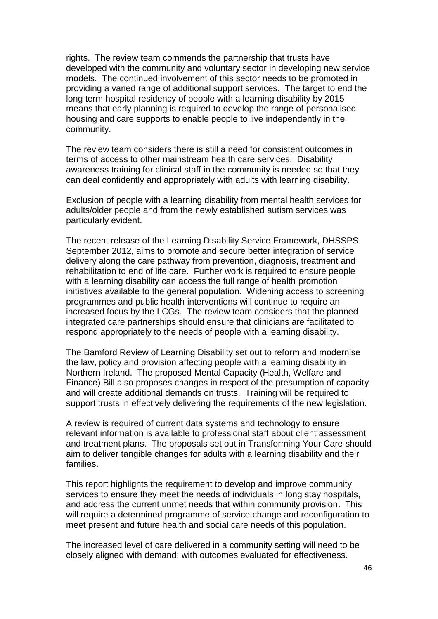rights. The review team commends the partnership that trusts have developed with the community and voluntary sector in developing new service models. The continued involvement of this sector needs to be promoted in providing a varied range of additional support services. The target to end the long term hospital residency of people with a learning disability by 2015 means that early planning is required to develop the range of personalised housing and care supports to enable people to live independently in the community.

The review team considers there is still a need for consistent outcomes in terms of access to other mainstream health care services. Disability awareness training for clinical staff in the community is needed so that they can deal confidently and appropriately with adults with learning disability.

Exclusion of people with a learning disability from mental health services for adults/older people and from the newly established autism services was particularly evident.

The recent release of the Learning Disability Service Framework, DHSSPS September 2012, aims to promote and secure better integration of service delivery along the care pathway from prevention, diagnosis, treatment and rehabilitation to end of life care. Further work is required to ensure people with a learning disability can access the full range of health promotion initiatives available to the general population. Widening access to screening programmes and public health interventions will continue to require an increased focus by the LCGs. The review team considers that the planned integrated care partnerships should ensure that clinicians are facilitated to respond appropriately to the needs of people with a learning disability.

The Bamford Review of Learning Disability set out to reform and modernise the law, policy and provision affecting people with a learning disability in Northern Ireland. The proposed Mental Capacity (Health, Welfare and Finance) Bill also proposes changes in respect of the presumption of capacity and will create additional demands on trusts. Training will be required to support trusts in effectively delivering the requirements of the new legislation.

A review is required of current data systems and technology to ensure relevant information is available to professional staff about client assessment and treatment plans. The proposals set out in Transforming Your Care should aim to deliver tangible changes for adults with a learning disability and their families.

This report highlights the requirement to develop and improve community services to ensure they meet the needs of individuals in long stay hospitals, and address the current unmet needs that within community provision. This will require a determined programme of service change and reconfiguration to meet present and future health and social care needs of this population.

The increased level of care delivered in a community setting will need to be closely aligned with demand; with outcomes evaluated for effectiveness.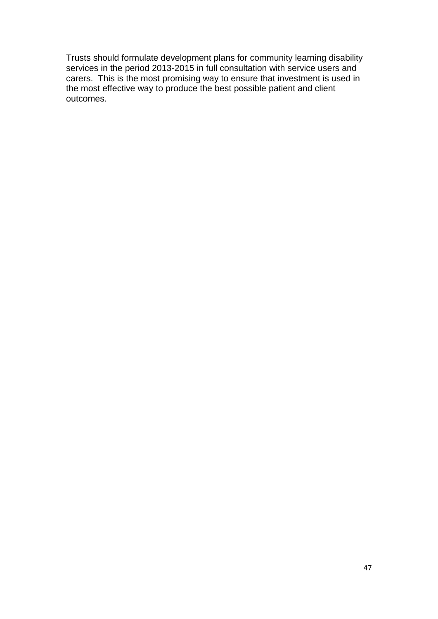Trusts should formulate development plans for community learning disability services in the period 2013-2015 in full consultation with service users and carers. This is the most promising way to ensure that investment is used in the most effective way to produce the best possible patient and client outcomes.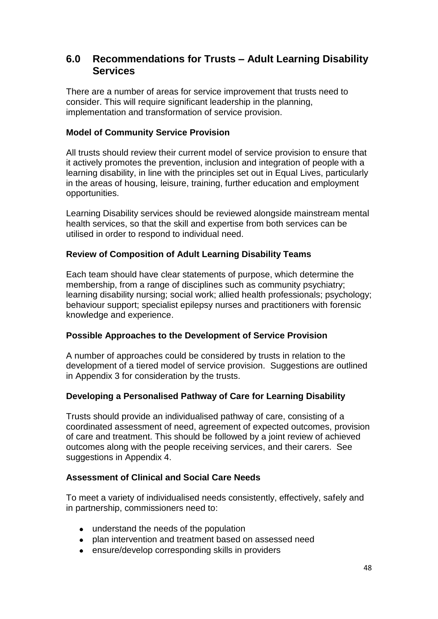# **6.0 Recommendations for Trusts – Adult Learning Disability Services**

There are a number of areas for service improvement that trusts need to consider. This will require significant leadership in the planning, implementation and transformation of service provision.

## **Model of Community Service Provision**

All trusts should review their current model of service provision to ensure that it actively promotes the prevention, inclusion and integration of people with a learning disability, in line with the principles set out in Equal Lives, particularly in the areas of housing, leisure, training, further education and employment opportunities.

Learning Disability services should be reviewed alongside mainstream mental health services, so that the skill and expertise from both services can be utilised in order to respond to individual need.

# **Review of Composition of Adult Learning Disability Teams**

Each team should have clear statements of purpose, which determine the membership, from a range of disciplines such as community psychiatry; learning disability nursing; social work; allied health professionals; psychology; behaviour support; specialist epilepsy nurses and practitioners with forensic knowledge and experience.

# **Possible Approaches to the Development of Service Provision**

A number of approaches could be considered by trusts in relation to the development of a tiered model of service provision. Suggestions are outlined in Appendix 3 for consideration by the trusts.

# **Developing a Personalised Pathway of Care for Learning Disability**

Trusts should provide an individualised pathway of care, consisting of a coordinated assessment of need, agreement of expected outcomes, provision of care and treatment. This should be followed by a joint review of achieved outcomes along with the people receiving services, and their carers. See suggestions in Appendix 4.

# **Assessment of Clinical and Social Care Needs**

To meet a variety of individualised needs consistently, effectively, safely and in partnership, commissioners need to:

- understand the needs of the population
- plan intervention and treatment based on assessed need
- ensure/develop corresponding skills in providers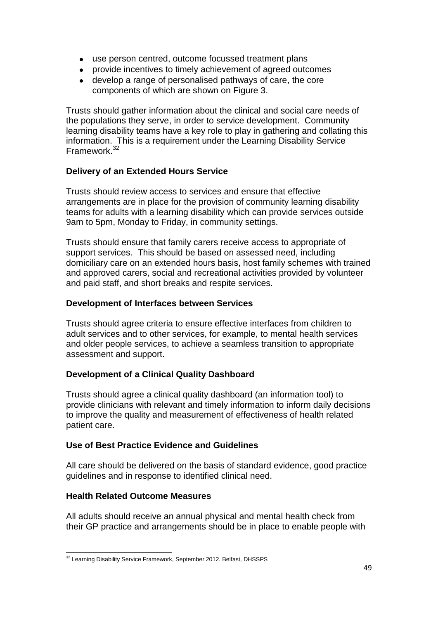- use person centred, outcome focussed treatment plans
- provide incentives to timely achievement of agreed outcomes
- develop a range of personalised pathways of care, the core components of which are shown on Figure 3.

Trusts should gather information about the clinical and social care needs of the populations they serve, in order to service development. Community learning disability teams have a key role to play in gathering and collating this information. This is a requirement under the Learning Disability Service Framework.<sup>32</sup>

# **Delivery of an Extended Hours Service**

Trusts should review access to services and ensure that effective arrangements are in place for the provision of community learning disability teams for adults with a learning disability which can provide services outside 9am to 5pm, Monday to Friday, in community settings.

Trusts should ensure that family carers receive access to appropriate of support services. This should be based on assessed need, including domiciliary care on an extended hours basis, host family schemes with trained and approved carers, social and recreational activities provided by volunteer and paid staff, and short breaks and respite services.

# **Development of Interfaces between Services**

Trusts should agree criteria to ensure effective interfaces from children to adult services and to other services, for example, to mental health services and older people services, to achieve a seamless transition to appropriate assessment and support.

# **Development of a Clinical Quality Dashboard**

Trusts should agree a clinical quality dashboard (an information tool) to provide clinicians with relevant and timely information to inform daily decisions to improve the quality and measurement of effectiveness of health related patient care.

# **Use of Best Practice Evidence and Guidelines**

All care should be delivered on the basis of standard evidence, good practice guidelines and in response to identified clinical need.

#### **Health Related Outcome Measures**

All adults should receive an annual physical and mental health check from their GP practice and arrangements should be in place to enable people with

 $\ddot{\phantom{a}}$  $32$  Learning Disability Service Framework, September 2012. Belfast, DHSSPS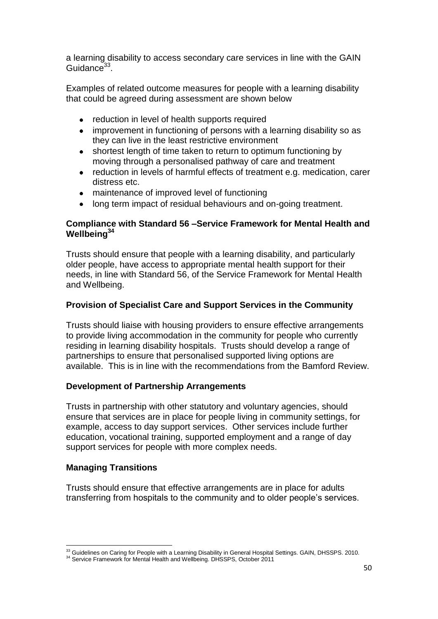a learning disability to access secondary care services in line with the GAIN Guidance<sup>33</sup>.

Examples of related outcome measures for people with a learning disability that could be agreed during assessment are shown below

- reduction in level of health supports required  $\bullet$
- $\bullet$ improvement in functioning of persons with a learning disability so as they can live in the least restrictive environment
- $\bullet$ shortest length of time taken to return to optimum functioning by moving through a personalised pathway of care and treatment
- reduction in levels of harmful effects of treatment e.g. medication, carer  $\bullet$ distress etc.
- maintenance of improved level of functioning
- long term impact of residual behaviours and on-going treatment.

## **Compliance with Standard 56 –Service Framework for Mental Health and Wellbeing<sup>34</sup>**

Trusts should ensure that people with a learning disability, and particularly older people, have access to appropriate mental health support for their needs, in line with Standard 56, of the Service Framework for Mental Health and Wellbeing.

# **Provision of Specialist Care and Support Services in the Community**

Trusts should liaise with housing providers to ensure effective arrangements to provide living accommodation in the community for people who currently residing in learning disability hospitals. Trusts should develop a range of partnerships to ensure that personalised supported living options are available. This is in line with the recommendations from the Bamford Review.

#### **Development of Partnership Arrangements**

Trusts in partnership with other statutory and voluntary agencies, should ensure that services are in place for people living in community settings, for example, access to day support services. Other services include further education, vocational training, supported employment and a range of day support services for people with more complex needs.

#### **Managing Transitions**

Trusts should ensure that effective arrangements are in place for adults transferring from hospitals to the community and to older people"s services.

 $\overline{a}$  $33$  Guidelines on Caring for People with a Learning Disability in General Hospital Settings. GAIN, DHSSPS. 2010.

<sup>&</sup>lt;sup>34</sup> Service Framework for Mental Health and Wellbeing. DHSSPS, October 2011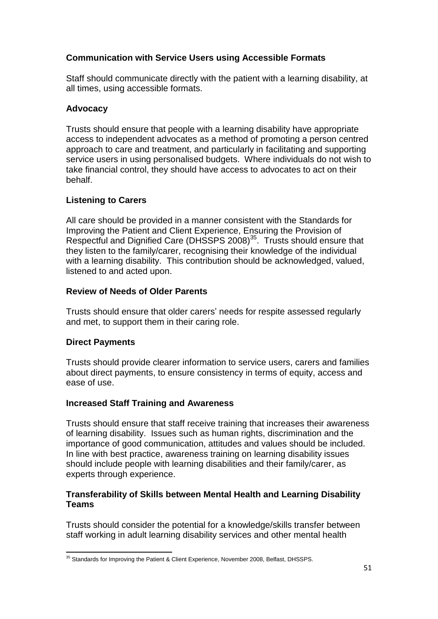# **Communication with Service Users using Accessible Formats**

Staff should communicate directly with the patient with a learning disability, at all times, using accessible formats.

# **Advocacy**

Trusts should ensure that people with a learning disability have appropriate access to independent advocates as a method of promoting a person centred approach to care and treatment, and particularly in facilitating and supporting service users in using personalised budgets. Where individuals do not wish to take financial control, they should have access to advocates to act on their behalf.

# **Listening to Carers**

All care should be provided in a manner consistent with the Standards for Improving the Patient and Client Experience, Ensuring the Provision of Respectful and Dignified Care (DHSSPS 2008)<sup>35</sup>. Trusts should ensure that they listen to the family/carer, recognising their knowledge of the individual with a learning disability. This contribution should be acknowledged, valued, listened to and acted upon.

# **Review of Needs of Older Parents**

Trusts should ensure that older carers" needs for respite assessed regularly and met, to support them in their caring role.

# **Direct Payments**

Trusts should provide clearer information to service users, carers and families about direct payments, to ensure consistency in terms of equity, access and ease of use.

# **Increased Staff Training and Awareness**

Trusts should ensure that staff receive training that increases their awareness of learning disability. Issues such as human rights, discrimination and the importance of good communication, attitudes and values should be included. In line with best practice, awareness training on learning disability issues should include people with learning disabilities and their family/carer, as experts through experience.

# **Transferability of Skills between Mental Health and Learning Disability Teams**

Trusts should consider the potential for a knowledge/skills transfer between staff working in adult learning disability services and other mental health

 $\ddot{\phantom{a}}$  $35$  Standards for Improving the Patient & Client Experience, November 2008, Belfast, DHSSPS.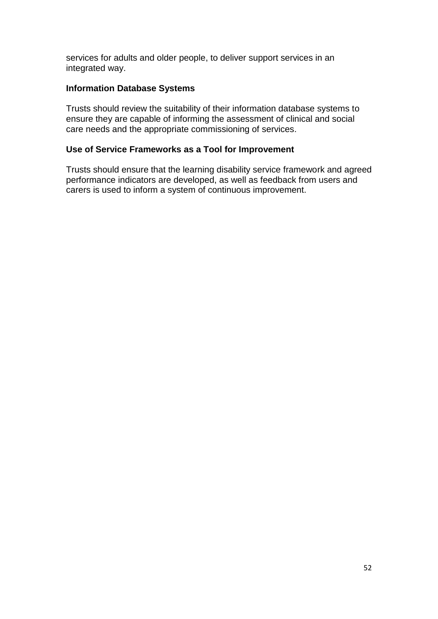services for adults and older people, to deliver support services in an integrated way.

# **Information Database Systems**

Trusts should review the suitability of their information database systems to ensure they are capable of informing the assessment of clinical and social care needs and the appropriate commissioning of services.

# **Use of Service Frameworks as a Tool for Improvement**

Trusts should ensure that the learning disability service framework and agreed performance indicators are developed, as well as feedback from users and carers is used to inform a system of continuous improvement.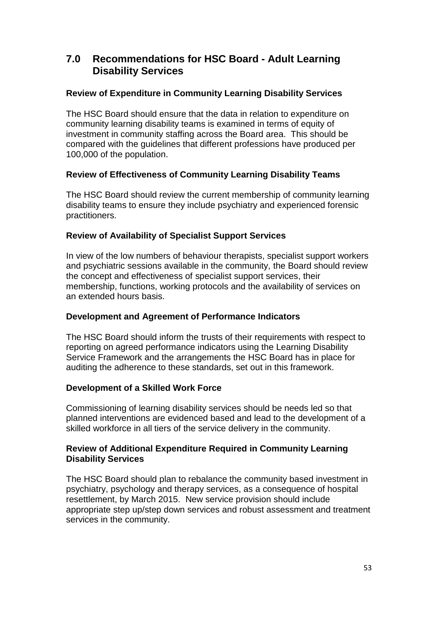# **7.0 Recommendations for HSC Board - Adult Learning Disability Services**

# **Review of Expenditure in Community Learning Disability Services**

The HSC Board should ensure that the data in relation to expenditure on community learning disability teams is examined in terms of equity of investment in community staffing across the Board area. This should be compared with the guidelines that different professions have produced per 100,000 of the population.

# **Review of Effectiveness of Community Learning Disability Teams**

The HSC Board should review the current membership of community learning disability teams to ensure they include psychiatry and experienced forensic practitioners.

# **Review of Availability of Specialist Support Services**

In view of the low numbers of behaviour therapists, specialist support workers and psychiatric sessions available in the community, the Board should review the concept and effectiveness of specialist support services, their membership, functions, working protocols and the availability of services on an extended hours basis.

# **Development and Agreement of Performance Indicators**

The HSC Board should inform the trusts of their requirements with respect to reporting on agreed performance indicators using the Learning Disability Service Framework and the arrangements the HSC Board has in place for auditing the adherence to these standards, set out in this framework.

#### **Development of a Skilled Work Force**

Commissioning of learning disability services should be needs led so that planned interventions are evidenced based and lead to the development of a skilled workforce in all tiers of the service delivery in the community.

#### **Review of Additional Expenditure Required in Community Learning Disability Services**

The HSC Board should plan to rebalance the community based investment in psychiatry, psychology and therapy services, as a consequence of hospital resettlement, by March 2015. New service provision should include appropriate step up/step down services and robust assessment and treatment services in the community.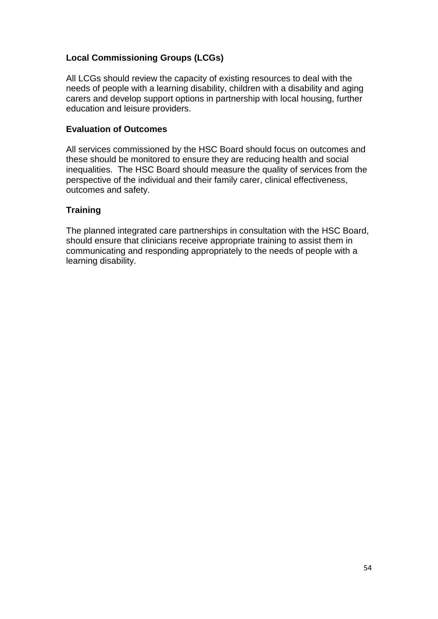# **Local Commissioning Groups (LCGs)**

All LCGs should review the capacity of existing resources to deal with the needs of people with a learning disability, children with a disability and aging carers and develop support options in partnership with local housing, further education and leisure providers.

#### **Evaluation of Outcomes**

All services commissioned by the HSC Board should focus on outcomes and these should be monitored to ensure they are reducing health and social inequalities. The HSC Board should measure the quality of services from the perspective of the individual and their family carer, clinical effectiveness, outcomes and safety.

# **Training**

The planned integrated care partnerships in consultation with the HSC Board, should ensure that clinicians receive appropriate training to assist them in communicating and responding appropriately to the needs of people with a learning disability.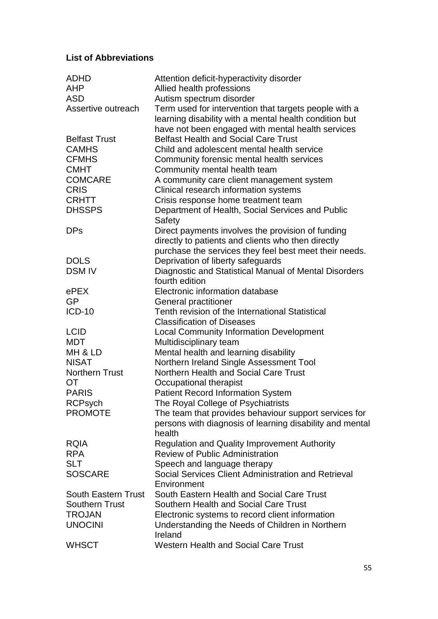# **List of Abbreviations**

| <b>ADHD</b>                | Attention deficit-hyperactivity disorder                                                                                                                             |
|----------------------------|----------------------------------------------------------------------------------------------------------------------------------------------------------------------|
| <b>AHP</b>                 | Allied health professions                                                                                                                                            |
| <b>ASD</b>                 | Autism spectrum disorder                                                                                                                                             |
| Assertive outreach         | Term used for intervention that targets people with a<br>learning disability with a mental health condition but<br>have not been engaged with mental health services |
| <b>Belfast Trust</b>       | <b>Belfast Health and Social Care Trust</b>                                                                                                                          |
| <b>CAMHS</b>               | Child and adolescent mental health service                                                                                                                           |
| <b>CFMHS</b>               | Community forensic mental health services                                                                                                                            |
| <b>CMHT</b>                | Community mental health team                                                                                                                                         |
| <b>COMCARE</b>             | A community care client management system                                                                                                                            |
| <b>CRIS</b>                | Clinical research information systems                                                                                                                                |
| <b>CRHTT</b>               | Crisis response home treatment team                                                                                                                                  |
| <b>DHSSPS</b>              | Department of Health, Social Services and Public<br>Safety                                                                                                           |
| <b>DPs</b>                 | Direct payments involves the provision of funding<br>directly to patients and clients who then directly                                                              |
|                            | purchase the services they feel best meet their needs.                                                                                                               |
| <b>DOLS</b>                | Deprivation of liberty safeguards                                                                                                                                    |
| <b>DSM IV</b>              | Diagnostic and Statistical Manual of Mental Disorders                                                                                                                |
|                            | fourth edition                                                                                                                                                       |
| ePEX                       | Electronic information database                                                                                                                                      |
| GP                         | General practitioner                                                                                                                                                 |
| <b>ICD-10</b>              | Tenth revision of the International Statistical                                                                                                                      |
|                            | <b>Classification of Diseases</b>                                                                                                                                    |
| <b>LCID</b>                | <b>Local Community Information Development</b>                                                                                                                       |
| <b>MDT</b>                 | Multidisciplinary team                                                                                                                                               |
| MH & LD                    | Mental health and learning disability                                                                                                                                |
| <b>NISAT</b>               | Northern Ireland Single Assessment Tool                                                                                                                              |
| <b>Northern Trust</b>      | Northern Health and Social Care Trust                                                                                                                                |
| <b>OT</b>                  | Occupational therapist                                                                                                                                               |
| <b>PARIS</b>               | <b>Patient Record Information System</b>                                                                                                                             |
| <b>RCPsych</b>             | The Royal College of Psychiatrists                                                                                                                                   |
| <b>PROMOTE</b>             | The team that provides behaviour support services for                                                                                                                |
|                            | persons with diagnosis of learning disability and mental<br>health                                                                                                   |
| <b>RQIA</b>                | <b>Regulation and Quality Improvement Authority</b>                                                                                                                  |
| <b>RPA</b>                 | <b>Review of Public Administration</b>                                                                                                                               |
| <b>SLT</b>                 | Speech and language therapy                                                                                                                                          |
| <b>SOSCARE</b>             | Social Services Client Administration and Retrieval<br>Environment                                                                                                   |
| <b>South Eastern Trust</b> | South Eastern Health and Social Care Trust                                                                                                                           |
| <b>Southern Trust</b>      | Southern Health and Social Care Trust                                                                                                                                |
| <b>TROJAN</b>              | Electronic systems to record client information                                                                                                                      |
| <b>UNOCINI</b>             | Understanding the Needs of Children in Northern                                                                                                                      |
|                            | Ireland                                                                                                                                                              |
| <b>WHSCT</b>               | <b>Western Health and Social Care Trust</b>                                                                                                                          |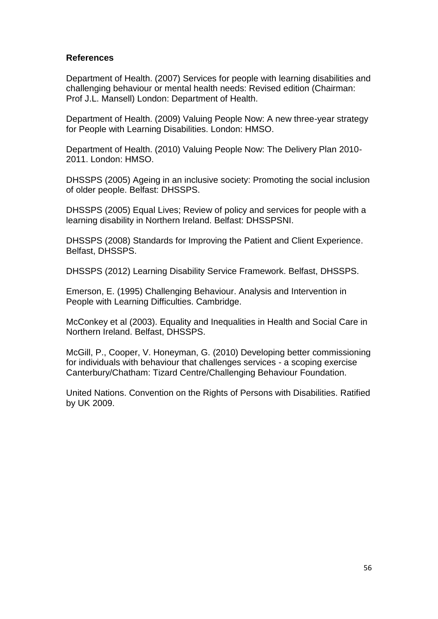## **References**

Department of Health. (2007) Services for people with learning disabilities and challenging behaviour or mental health needs: Revised edition (Chairman: Prof J.L. Mansell) London: Department of Health.

Department of Health. (2009) Valuing People Now: A new three-year strategy for People with Learning Disabilities. London: HMSO.

Department of Health. (2010) Valuing People Now: The Delivery Plan 2010- 2011. London: HMSO.

DHSSPS (2005) Ageing in an inclusive society: Promoting the social inclusion of older people. Belfast: DHSSPS.

DHSSPS (2005) Equal Lives; Review of policy and services for people with a learning disability in Northern Ireland. Belfast: DHSSPSNI.

DHSSPS (2008) Standards for Improving the Patient and Client Experience. Belfast, DHSSPS.

DHSSPS (2012) Learning Disability Service Framework. Belfast, DHSSPS.

Emerson, E. (1995) Challenging Behaviour. Analysis and Intervention in People with Learning Difficulties. Cambridge.

McConkey et al (2003). Equality and Inequalities in Health and Social Care in Northern Ireland. Belfast, DHSSPS.

McGill, P., Cooper, V. Honeyman, G. (2010) Developing better commissioning for individuals with behaviour that challenges services - a scoping exercise Canterbury/Chatham: Tizard Centre/Challenging Behaviour Foundation.

United Nations. Convention on the Rights of Persons with Disabilities. Ratified by UK 2009.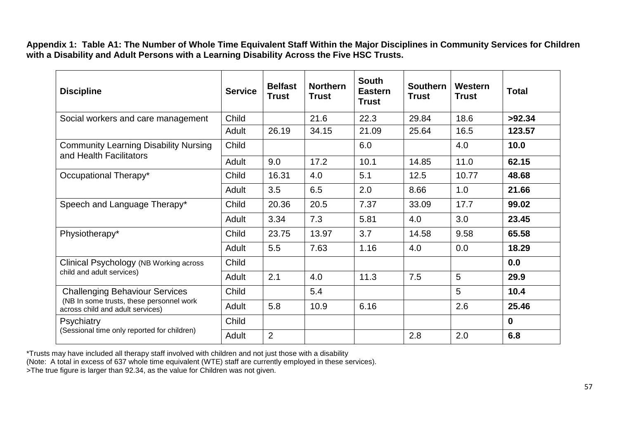**Appendix 1: Table A1: The Number of Whole Time Equivalent Staff Within the Major Disciplines in Community Services for Children**  with a Disability and Adult Persons with a Learning Disability Across the Five HSC Trusts.

| <b>Discipline</b>                                                            | <b>Service</b> | <b>Belfast</b><br><b>Trust</b> | <b>Northern</b><br><b>Trust</b> | <b>South</b><br><b>Eastern</b><br><b>Trust</b> | <b>Southern</b><br><b>Trust</b> | Western<br>Trust | <b>Total</b> |
|------------------------------------------------------------------------------|----------------|--------------------------------|---------------------------------|------------------------------------------------|---------------------------------|------------------|--------------|
| Social workers and care management                                           | Child          |                                | 21.6                            | 22.3                                           | 29.84                           | 18.6             | >92.34       |
|                                                                              | Adult          | 26.19                          | 34.15                           | 21.09                                          | 25.64                           | 16.5             | 123.57       |
| <b>Community Learning Disability Nursing</b><br>and Health Facilitators      | Child          |                                |                                 | 6.0                                            |                                 | 4.0              | 10.0         |
|                                                                              | Adult          | 9.0                            | 17.2                            | 10.1                                           | 14.85                           | 11.0             | 62.15        |
| Occupational Therapy*                                                        | Child          | 16.31                          | 4.0                             | 5.1                                            | 12.5                            | 10.77            | 48.68        |
|                                                                              | Adult          | 3.5                            | 6.5                             | 2.0                                            | 8.66                            | 1.0              | 21.66        |
| Speech and Language Therapy*                                                 | Child          | 20.36                          | 20.5                            | 7.37                                           | 33.09                           | 17.7             | 99.02        |
|                                                                              | Adult          | 3.34                           | 7.3                             | 5.81                                           | 4.0                             | 3.0              | 23.45        |
| Physiotherapy*                                                               | Child          | 23.75                          | 13.97                           | 3.7                                            | 14.58                           | 9.58             | 65.58        |
|                                                                              | Adult          | 5.5                            | 7.63                            | 1.16                                           | 4.0                             | 0.0              | 18.29        |
| Clinical Psychology (NB Working across                                       | Child          |                                |                                 |                                                |                                 |                  | 0.0          |
| child and adult services)                                                    | Adult          | 2.1                            | 4.0                             | 11.3                                           | 7.5                             | 5                | 29.9         |
| <b>Challenging Behaviour Services</b>                                        | Child          |                                | 5.4                             |                                                |                                 | 5                | 10.4         |
| (NB In some trusts, these personnel work<br>across child and adult services) | Adult          | 5.8                            | 10.9                            | 6.16                                           |                                 | 2.6              | 25.46        |
| <b>Psychiatry</b>                                                            | Child          |                                |                                 |                                                |                                 |                  | $\mathbf 0$  |
| (Sessional time only reported for children)                                  | Adult          | $\overline{2}$                 |                                 |                                                | 2.8                             | 2.0              | 6.8          |

\*Trusts may have included all therapy staff involved with children and not just those with a disability

(Note: A total in excess of 637 whole time equivalent (WTE) staff are currently employed in these services).

>The true figure is larger than 92.34, as the value for Children was not given.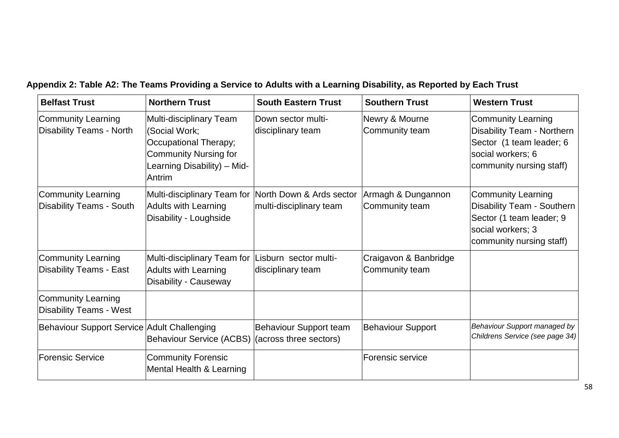| <b>Belfast Trust</b>                                         | <b>Northern Trust</b>                                                                                                                      | <b>South Eastern Trust</b>                          | <b>Southern Trust</b>                   | <b>Western Trust</b>                                                                                                                 |
|--------------------------------------------------------------|--------------------------------------------------------------------------------------------------------------------------------------------|-----------------------------------------------------|-----------------------------------------|--------------------------------------------------------------------------------------------------------------------------------------|
| <b>Community Learning</b><br><b>Disability Teams - North</b> | Multi-disciplinary Team<br>(Social Work;<br>Occupational Therapy;<br><b>Community Nursing for</b><br>Learning Disability) - Mid-<br>Antrim | Down sector multi-<br>disciplinary team             | Newry & Mourne<br>Community team        | Community Learning<br>Disability Team - Northern<br>Sector (1 team leader; 6<br>social workers; 6<br>community nursing staff)        |
| Community Learning<br><b>Disability Teams - South</b>        | Multi-disciplinary Team for<br><b>Adults with Learning</b><br>Disability - Loughside                                                       | North Down & Ards sector<br>multi-disciplinary team | Armagh & Dungannon<br>Community team    | Community Learning<br><b>Disability Team - Southern</b><br>Sector (1 team leader; 9<br>social workers; 3<br>community nursing staff) |
| <b>Community Learning</b><br><b>Disability Teams - East</b>  | Multi-disciplinary Team for<br><b>Adults with Learning</b><br>Disability - Causeway                                                        | Lisburn sector multi-<br>disciplinary team          | Craigavon & Banbridge<br>Community team |                                                                                                                                      |
| <b>Community Learning</b><br><b>Disability Teams - West</b>  |                                                                                                                                            |                                                     |                                         |                                                                                                                                      |
| Behaviour Support Service Adult Challenging                  | <b>Behaviour Service (ACBS)</b>                                                                                                            | Behaviour Support team<br>(across three sectors)    | <b>Behaviour Support</b>                | Behaviour Support managed by<br>Childrens Service (see page 34)                                                                      |
| Forensic Service                                             | <b>Community Forensic</b><br>Mental Health & Learning                                                                                      |                                                     | Forensic service                        |                                                                                                                                      |

**Appendix 2: Table A2: The Teams Providing a Service to Adults with a Learning Disability, as Reported by Each Trust**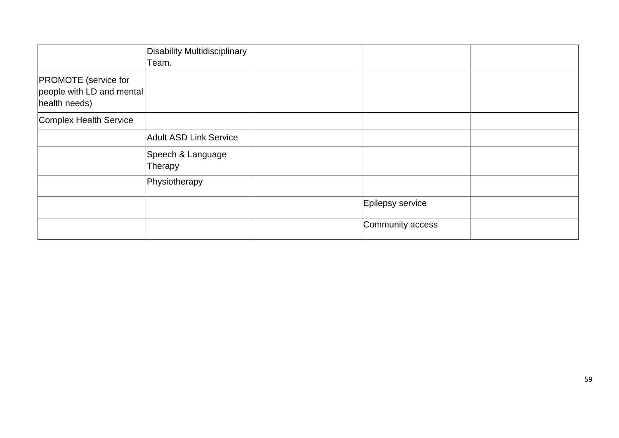|                                                                           | Disability Multidisciplinary<br>Team. |                  |  |
|---------------------------------------------------------------------------|---------------------------------------|------------------|--|
| <b>PROMOTE</b> (service for<br>people with LD and mental<br>health needs) |                                       |                  |  |
| Complex Health Service                                                    |                                       |                  |  |
|                                                                           | <b>Adult ASD Link Service</b>         |                  |  |
|                                                                           | Speech & Language<br>Therapy          |                  |  |
|                                                                           | Physiotherapy                         |                  |  |
|                                                                           |                                       | Epilepsy service |  |
|                                                                           |                                       | Community access |  |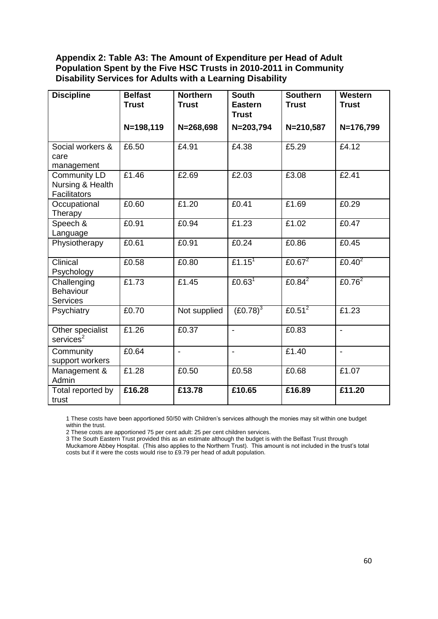## **Appendix 2: Table A3: The Amount of Expenditure per Head of Adult Population Spent by the Five HSC Trusts in 2010-2011 in Community Disability Services for Adults with a Learning Disability**

| <b>Discipline</b>                                       | <b>Belfast</b><br><b>Trust</b> | <b>Northern</b><br><b>Trust</b> | <b>South</b><br><b>Eastern</b><br><b>Trust</b> | <b>Southern</b><br><b>Trust</b> | Western<br><b>Trust</b> |
|---------------------------------------------------------|--------------------------------|---------------------------------|------------------------------------------------|---------------------------------|-------------------------|
|                                                         | N=198,119                      | $N = 268,698$                   | $N = 203,794$                                  | N=210,587                       | N=176,799               |
| Social workers &<br>care<br>management                  | £6.50                          | £4.91                           | £4.38                                          | £5.29                           | £4.12                   |
| <b>Community LD</b><br>Nursing & Health<br>Facilitators | £1.46                          | £2.69                           | £2.03                                          | £3.08                           | £2.41                   |
| Occupational<br>Therapy                                 | £0.60                          | £1.20                           | £0.41                                          | £1.69                           | £0.29                   |
| Speech &<br>Language                                    | £0.91                          | £0.94                           | £1.23                                          | £1.02                           | £0.47                   |
| Physiotherapy                                           | £0.61                          | £0.91                           | £0.24                                          | £0.86                           | £0.45                   |
| Clinical<br>Psychology                                  | £0.58                          | £0.80                           | £1.15 <sup>1</sup>                             | £0.67 $2$                       | £0.40 $2$               |
| Challenging<br>Behaviour<br>Services                    | £1.73                          | £1.45                           | £0.63 <sup>1</sup>                             | £0.84 $2$                       | £0.76 $2$               |
| Psychiatry                                              | £0.70                          | Not supplied                    | $(E0.78)^3$                                    | £0.51 $2$                       | £1.23                   |
| Other specialist<br>services <sup>2</sup>               | £1.26                          | £0.37                           | $\overline{a}$                                 | £0.83                           | $\overline{a}$          |
| Community<br>support workers                            | £0.64                          | $\blacksquare$                  | $\overline{a}$                                 | £1.40                           | $\overline{a}$          |
| Management &<br>Admin                                   | £1.28                          | £0.50                           | £0.58                                          | £0.68                           | £1.07                   |
| Total reported by<br>trust                              | £16.28                         | £13.78                          | £10.65                                         | £16.89                          | £11.20                  |

1 These costs have been apportioned 50/50 with Children"s services although the monies may sit within one budget within the trust.

2 These costs are apportioned 75 per cent adult: 25 per cent children services.

3 The South Eastern Trust provided this as an estimate although the budget is with the Belfast Trust through Muckamore Abbey Hospital. (This also applies to the Northern Trust). This amount is not included in the trust"s total costs but if it were the costs would rise to £9.79 per head of adult population.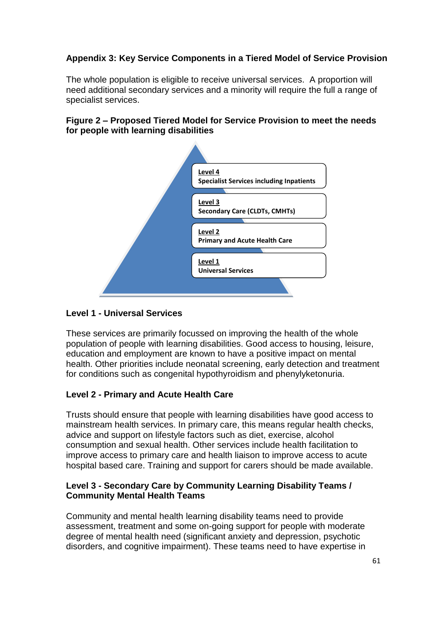# **Appendix 3: Key Service Components in a Tiered Model of Service Provision**

The whole population is eligible to receive universal services. A proportion will need additional secondary services and a minority will require the full a range of specialist services.

## **Figure 2 – Proposed Tiered Model for Service Provision to meet the needs for people with learning disabilities**



## **Level 1 - Universal Services**

These services are primarily focussed on improving the health of the whole population of people with learning disabilities. Good access to housing, leisure, education and employment are known to have a positive impact on mental health. Other priorities include neonatal screening, early detection and treatment for conditions such as congenital hypothyroidism and phenylyketonuria.

# **Level 2 - Primary and Acute Health Care**

Trusts should ensure that people with learning disabilities have good access to mainstream health services. In primary care, this means regular health checks, advice and support on lifestyle factors such as diet, exercise, alcohol consumption and sexual health. Other services include health facilitation to improve access to primary care and health liaison to improve access to acute hospital based care. Training and support for carers should be made available.

# **Level 3 - Secondary Care by Community Learning Disability Teams / Community Mental Health Teams**

Community and mental health learning disability teams need to provide assessment, treatment and some on-going support for people with moderate degree of mental health need (significant anxiety and depression, psychotic disorders, and cognitive impairment). These teams need to have expertise in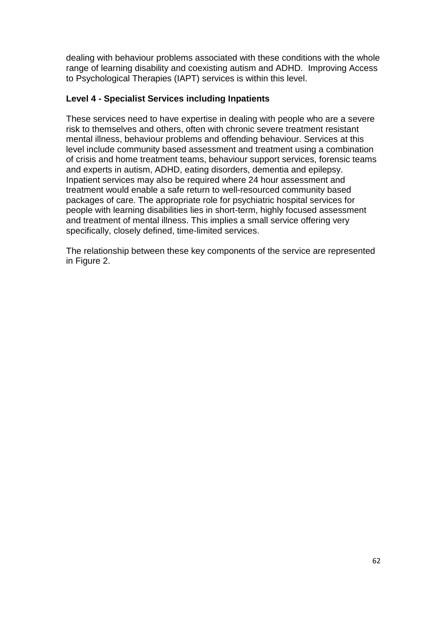dealing with behaviour problems associated with these conditions with the whole range of learning disability and coexisting autism and ADHD. Improving Access to Psychological Therapies (IAPT) services is within this level.

# **Level 4 - Specialist Services including Inpatients**

These services need to have expertise in dealing with people who are a severe risk to themselves and others, often with chronic severe treatment resistant mental illness, behaviour problems and offending behaviour. Services at this level include community based assessment and treatment using a combination of crisis and home treatment teams, behaviour support services, forensic teams and experts in autism, ADHD, eating disorders, dementia and epilepsy. Inpatient services may also be required where 24 hour assessment and treatment would enable a safe return to well-resourced community based packages of care. The appropriate role for psychiatric hospital services for people with learning disabilities lies in short-term, highly focused assessment and treatment of mental illness. This implies a small service offering very specifically, closely defined, time-limited services.

The relationship between these key components of the service are represented in Figure 2.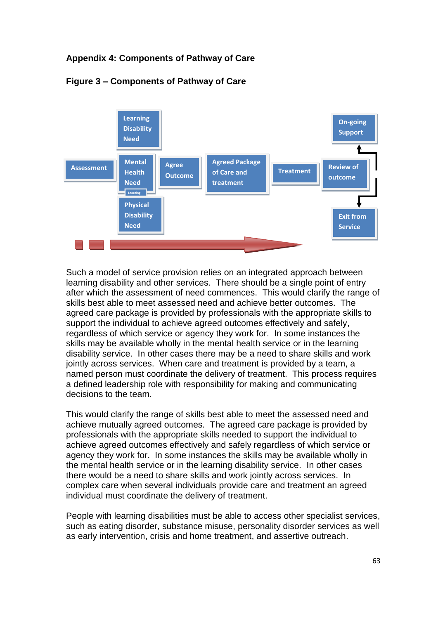# **Appendix 4: Components of Pathway of Care**



# **Figure 3 – Components of Pathway of Care**

Such a model of service provision relies on an integrated approach between learning disability and other services. There should be a single point of entry after which the assessment of need commences. This would clarify the range of skills best able to meet assessed need and achieve better outcomes. The agreed care package is provided by professionals with the appropriate skills to support the individual to achieve agreed outcomes effectively and safely, regardless of which service or agency they work for. In some instances the skills may be available wholly in the mental health service or in the learning disability service. In other cases there may be a need to share skills and work jointly across services. When care and treatment is provided by a team, a named person must coordinate the delivery of treatment. This process requires a defined leadership role with responsibility for making and communicating decisions to the team.

This would clarify the range of skills best able to meet the assessed need and achieve mutually agreed outcomes. The agreed care package is provided by professionals with the appropriate skills needed to support the individual to achieve agreed outcomes effectively and safely regardless of which service or agency they work for. In some instances the skills may be available wholly in the mental health service or in the learning disability service. In other cases there would be a need to share skills and work jointly across services. In complex care when several individuals provide care and treatment an agreed individual must coordinate the delivery of treatment.

People with learning disabilities must be able to access other specialist services, such as eating disorder, substance misuse, personality disorder services as well as early intervention, crisis and home treatment, and assertive outreach.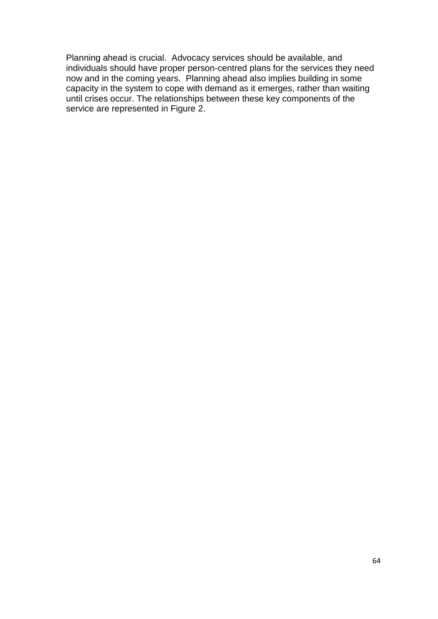Planning ahead is crucial. Advocacy services should be available, and individuals should have proper person-centred plans for the services they need now and in the coming years. Planning ahead also implies building in some capacity in the system to cope with demand as it emerges, rather than waiting until crises occur. The relationships between these key components of the service are represented in Figure 2.